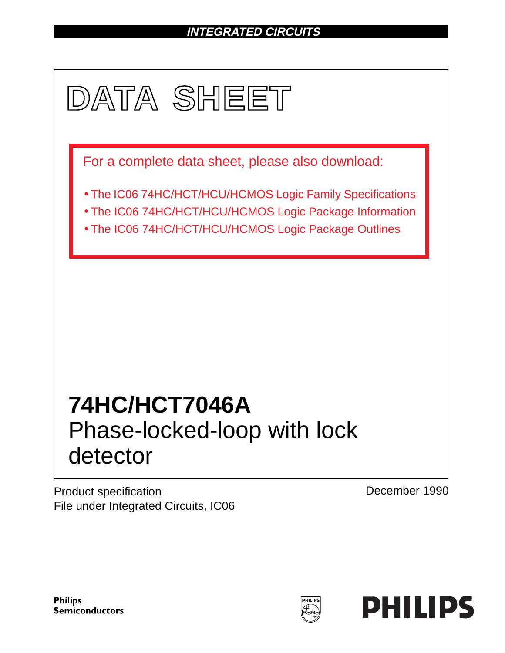# **INTEGRATED CIRCUITS**



Product specification File under Integrated Circuits, IC06 December 1990

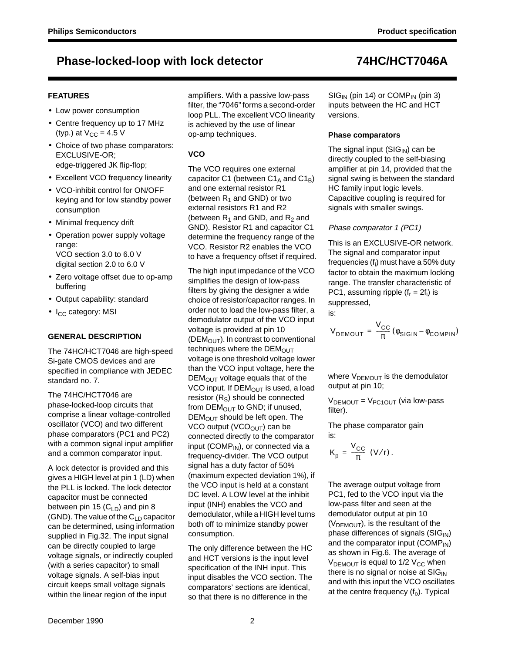### **FEATURES**

- Low power consumption
- Centre frequency up to 17 MHz (typ.) at  $V_{CC} = 4.5$  V
- Choice of two phase comparators: EXCLUSIVE-OR; edge-triggered JK flip-flop;
- Excellent VCO frequency linearity
- VCO-inhibit control for ON/OFF keying and for low standby power consumption
- Minimal frequency drift
- Operation power supply voltage range: VCO section 3.0 to 6.0 V digital section 2.0 to 6.0 V
- Zero voltage offset due to op-amp buffering
- Output capability: standard
- I<sub>CC</sub> category: MSI

### **GENERAL DESCRIPTION**

The 74HC/HCT7046 are high-speed Si-gate CMOS devices and are specified in compliance with JEDEC standard no. 7.

The 74HC/HCT7046 are phase-locked-loop circuits that comprise a linear voltage-controlled oscillator (VCO) and two different phase comparators (PC1 and PC2) with a common signal input amplifier and a common comparator input.

A lock detector is provided and this gives a HIGH level at pin 1 (LD) when the PLL is locked. The lock detector capacitor must be connected between pin 15  $(C_{LD})$  and pin 8 (GND). The value of the  $C_{LD}$  capacitor can be determined, using information supplied in Fig.32. The input signal can be directly coupled to large voltage signals, or indirectly coupled (with a series capacitor) to small voltage signals. A self-bias input circuit keeps small voltage signals within the linear region of the input

amplifiers. With a passive low-pass filter, the "7046" forms a second-order loop PLL. The excellent VCO linearity is achieved by the use of linear op-amp techniques.

### **VCO**

The VCO requires one external capacitor C1 (between  $C1_A$  and  $C1_B$ ) and one external resistor R1 (between  $R_1$  and GND) or two external resistors R1 and R2 (between  $R_1$  and GND, and  $R_2$  and GND). Resistor R1 and capacitor C1 determine the frequency range of the VCO. Resistor R2 enables the VCO to have a frequency offset if required.

The high input impedance of the VCO simplifies the design of low-pass filters by giving the designer a wide choice of resistor/capacitor ranges. In order not to load the low-pass filter, a demodulator output of the VCO input voltage is provided at pin 10 ( $DEM<sub>OUT</sub>$ ). In contrast to conventional techniques where the  $DEM<sub>OUT</sub>$ voltage is one threshold voltage lower than the VCO input voltage, here the  $DEM<sub>OUT</sub>$  voltage equals that of the VCO input. If  $DEM_{OUT}$  is used, a load resistor  $(R<sub>S</sub>)$  should be connected from  $DEM_{OUT}$  to GND; if unused,  $DEM<sub>OUT</sub>$  should be left open. The VCO output (VCO $_{\text{OUT}}$ ) can be connected directly to the comparator input (COMP $_{\mathsf{IN}}$ ), or connected via a frequency-divider. The VCO output signal has a duty factor of 50% (maximum expected deviation 1%), if the VCO input is held at a constant DC level. A LOW level at the inhibit input (INH) enables the VCO and demodulator, while a HIGH level turns both off to minimize standby power consumption.

The only difference between the HC and HCT versions is the input level specification of the INH input. This input disables the VCO section. The comparators' sections are identical, so that there is no difference in the

 $SIG<sub>IN</sub>$  (pin 14) or COMP<sub>IN</sub> (pin 3) inputs between the HC and HCT versions.

### **Phase comparators**

The signal input  $(SIG_{IN})$  can be directly coupled to the self-biasing amplifier at pin 14, provided that the signal swing is between the standard HC family input logic levels. Capacitive coupling is required for signals with smaller swings.

### Phase comparator 1 (PC1)

This is an EXCLUSIVE-OR network. The signal and comparator input frequencies (f<sub>i</sub>) must have a 50% duty factor to obtain the maximum locking range. The transfer characteristic of PC1, assuming ripple  $(f_r = 2f_i)$  is suppressed, is:

$$
V_{DEMOUT} = \frac{V_{CC}}{\pi} (\phi_{SIGIN} - \phi_{COMPIN})
$$

where  $V_{DEMOUT}$  is the demodulator output at pin 10;

 $V<sub>DEMOUT</sub> = V<sub>PC1OUT</sub>$  (via low-pass filter).

The phase comparator gain is:

$$
K_p = \frac{V_{CC}}{\pi} (V/r).
$$

The average output voltage from PC1, fed to the VCO input via the low-pass filter and seen at the demodulator output at pin 10  $(V<sub>DEMOUT</sub>)$ , is the resultant of the phase differences of signals  $(SIG_{IN})$ and the comparator input (COMP<sub>IN</sub>) as shown in Fig.6. The average of  $V_{DEMOUT}$  is equal to 1/2  $V_{CC}$  when there is no signal or noise at  $SIG_{IN}$ and with this input the VCO oscillates at the centre frequency  $(f_0)$ . Typical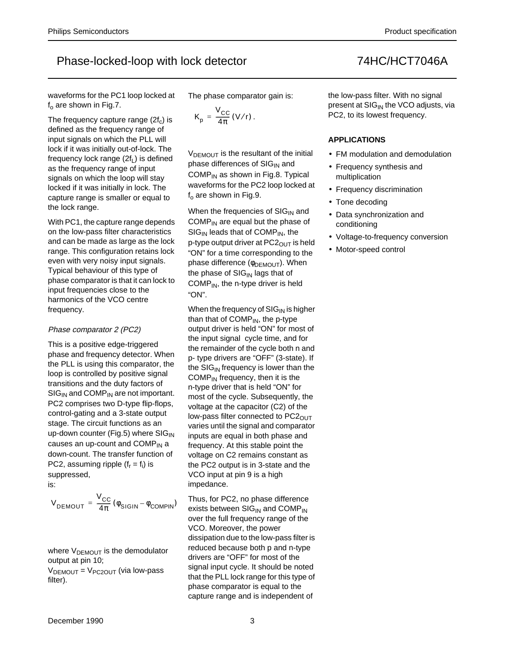waveforms for the PC1 loop locked at  $f<sub>o</sub>$  are shown in Fig.7.

The frequency capture range  $(2f_c)$  is defined as the frequency range of input signals on which the PLL will lock if it was initially out-of-lock. The frequency lock range  $(2f_L)$  is defined as the frequency range of input signals on which the loop will stay locked if it was initially in lock. The capture range is smaller or equal to the lock range.

With PC1, the capture range depends on the low-pass filter characteristics and can be made as large as the lock range. This configuration retains lock even with very noisy input signals. Typical behaviour of this type of phase comparator is that it can lock to input frequencies close to the harmonics of the VCO centre frequency.

### Phase comparator 2 (PC2)

This is a positive edge-triggered phase and frequency detector. When the PLL is using this comparator, the loop is controlled by positive signal transitions and the duty factors of  $SIG_{IN}$  and COMP<sub>IN</sub> are not important. PC2 comprises two D-type flip-flops, control-gating and a 3-state output stage. The circuit functions as an up-down counter (Fig.5) where  $\text{SIG}_{\text{IN}}$ causes an up-count and  $COMP_{IN}$  a down-count. The transfer function of PC2, assuming ripple  $(f_r = f_i)$  is suppressed,

is:

$$
V_{\text{DEMOUT}} = \frac{V_{\text{CC}}}{4\pi} (\phi_{\text{SIGIN}} - \phi_{\text{COMPIN}})
$$

where  $V_{DEMOUT}$  is the demodulator output at pin 10;

 $V_{DEMOUT} = V_{PC2OUT}$  (via low-pass filter).

The phase comparator gain is:

$$
K_{p} = \frac{V_{CC}}{4\pi} (V/r).
$$

 $V_{DEMOUT}$  is the resultant of the initial phase differences of  $SIG_{IN}$  and  $COMP_{IN}$  as shown in Fig.8. Typical waveforms for the PC2 loop locked at  $f<sub>o</sub>$  are shown in Fig.9.

When the frequencies of  $\text{SIG}_{\text{IN}}$  and COMP $_{IN}$  are equal but the phase of  $SIG_{IN}$  leads that of COMP<sub>IN</sub>, the p-type output driver at  $PC2_{\text{OUT}}$  is held "ON" for a time corresponding to the phase difference (Φ<sub>DEMOUT</sub>). When the phase of  $SIG_{IN}$  lags that of  $COMP_{IN}$ , the n-type driver is held "ON".

When the frequency of  $\rm SIG_{IN}$  is higher than that of  $COMP_{IN}$ , the p-type output driver is held "ON" for most of the input signal cycle time, and for the remainder of the cycle both n and p- type drivers are "OFF" (3-state). If the  $SIG_{IN}$  frequency is lower than the  $COMP_{IN}$  frequency, then it is the n-type driver that is held "ON" for most of the cycle. Subsequently, the voltage at the capacitor (C2) of the low-pass filter connected to  $PC2<sub>OUT</sub>$ varies until the signal and comparator inputs are equal in both phase and frequency. At this stable point the voltage on C2 remains constant as the PC2 output is in 3-state and the VCO input at pin 9 is a high impedance.

Thus, for PC2, no phase difference exists between  $SIG_{IN}$  and  $COMP_{IN}$ over the full frequency range of the VCO. Moreover, the power dissipation due to the low-pass filter is reduced because both p and n-type drivers are "OFF" for most of the signal input cycle. It should be noted that the PLL lock range for this type of phase comparator is equal to the capture range and is independent of

the low-pass filter. With no signal present at  $SIG_{IN}$  the VCO adjusts, via PC2, to its lowest frequency.

### **APPLICATIONS**

- FM modulation and demodulation
- Frequency synthesis and multiplication
- Frequency discrimination
- Tone decoding
- Data synchronization and conditioning
- Voltage-to-frequency conversion
- Motor-speed control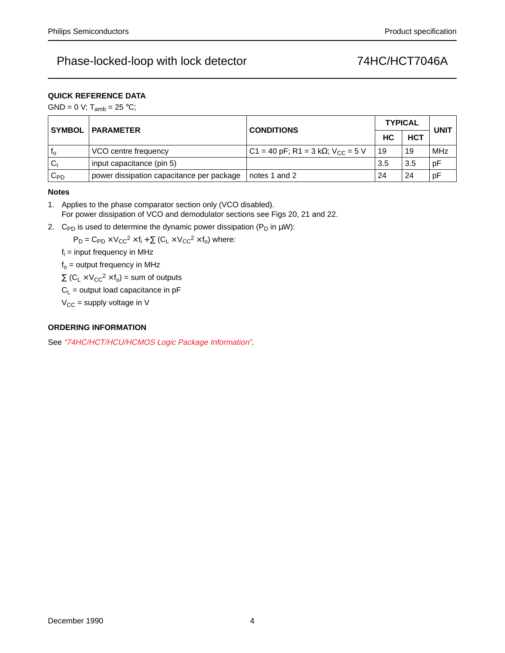### **QUICK REFERENCE DATA**

GND = 0 V;  $T_{amb}$  = 25 °C;

| <b>SYMBOL</b> | <b>PARAMETER</b>                          | <b>CONDITIONS</b>                                     | <b>TYPICAL</b> | <b>UNIT</b> |     |
|---------------|-------------------------------------------|-------------------------------------------------------|----------------|-------------|-----|
|               |                                           |                                                       | <b>HCT</b>     |             |     |
| ٠lo           | VCO centre frequency                      | C1 = 40 pF; R1 = 3 k $\Omega$ ; V <sub>CC</sub> = 5 V | 19             | 19          | MHz |
| $C_1$         | input capacitance (pin 5)                 |                                                       | 3.5            | 3.5         | рF  |
| $C_{PD}$      | power dissipation capacitance per package | notes 1 and 2                                         | 24             | 24          | рF  |

### **Notes**

- 1. Applies to the phase comparator section only (VCO disabled). For power dissipation of VCO and demodulator sections see Figs 20, 21 and 22.
- 2. C<sub>PD</sub> is used to determine the dynamic power dissipation (P<sub>D</sub> in  $\mu$ W):

 $P_D = C_{PD} \times V_{CC}^2 \times f_i + \sum (C_L \times V_{CC}^2 \times f_o)$  where:

 $f_i$  = input frequency in MHz

 $f<sub>o</sub>$  = output frequency in MHz

 $\Sigma$  (C<sub>L</sub> × V<sub>CC</sub><sup>2</sup> × f<sub>o</sub>) = sum of outputs

 $C_L$  = output load capacitance in pF

 $V_{CC}$  = supply voltage in V

### **ORDERING INFORMATION**

See "74HC/HCT/HCU/HCMOS Logic Package Information".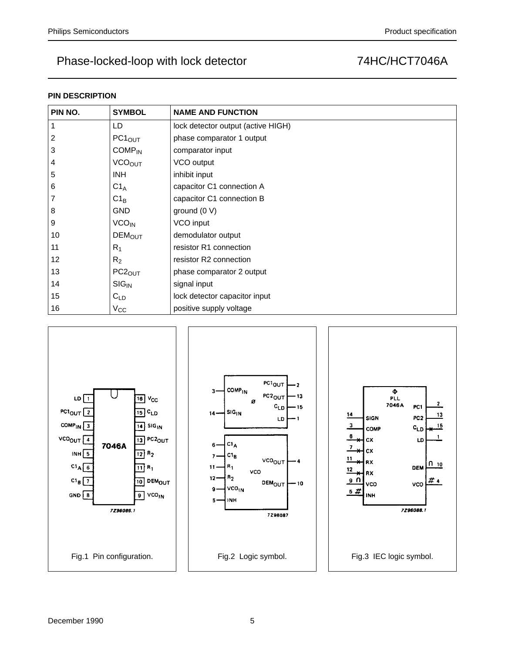### **PIN DESCRIPTION**

| PIN NO. | <b>SYMBOL</b>           | <b>NAME AND FUNCTION</b>           |
|---------|-------------------------|------------------------------------|
|         | LD                      | lock detector output (active HIGH) |
| 2       | PC1 <sub>OUT</sub>      | phase comparator 1 output          |
| 3       | $COMP_{IN}$             | comparator input                   |
| 4       | <b>VCOOUT</b>           | VCO output                         |
| 5       | INH.                    | inhibit input                      |
| 6       | $C1_A$                  | capacitor C1 connection A          |
|         | $C1_B$                  | capacitor C1 connection B          |
| 8       | <b>GND</b>              | ground $(0 V)$                     |
| 9       | <b>VCO<sub>IN</sub></b> | VCO input                          |
| 10      | <b>DEMOUT</b>           | demodulator output                 |
| 11      | $R_1$                   | resistor R1 connection             |
| 12      | R <sub>2</sub>          | resistor R2 connection             |
| 13      | PC2 <sub>OUT</sub>      | phase comparator 2 output          |
| 14      | $SIG_{IN}$              | signal input                       |
| 15      | $C_{LD}$                | lock detector capacitor input      |
| 16      | $V_{\rm CC}$            | positive supply voltage            |

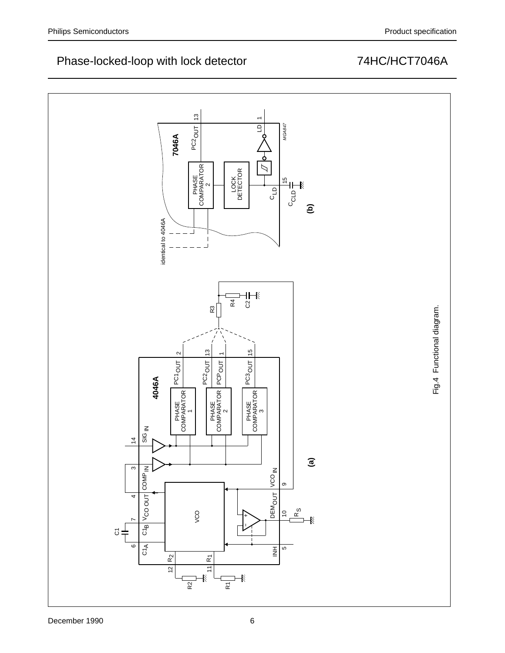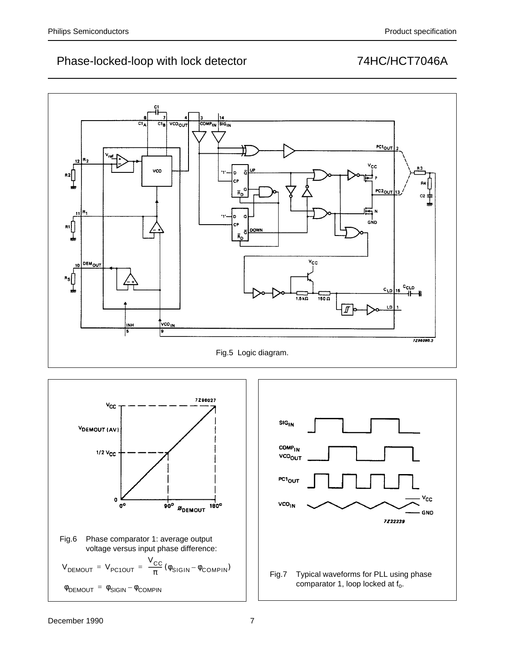



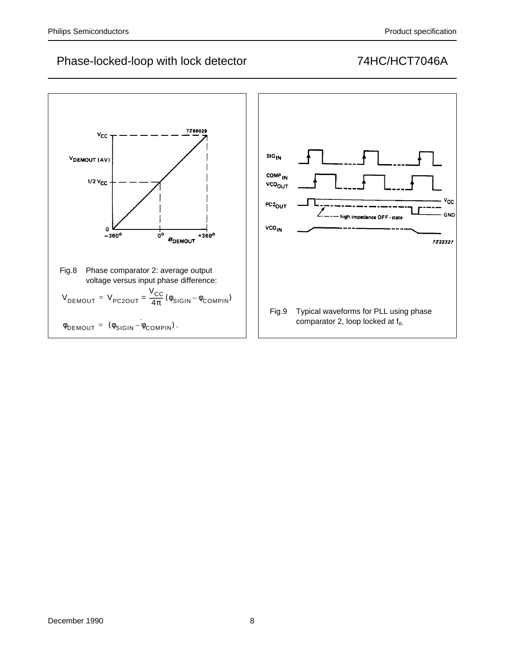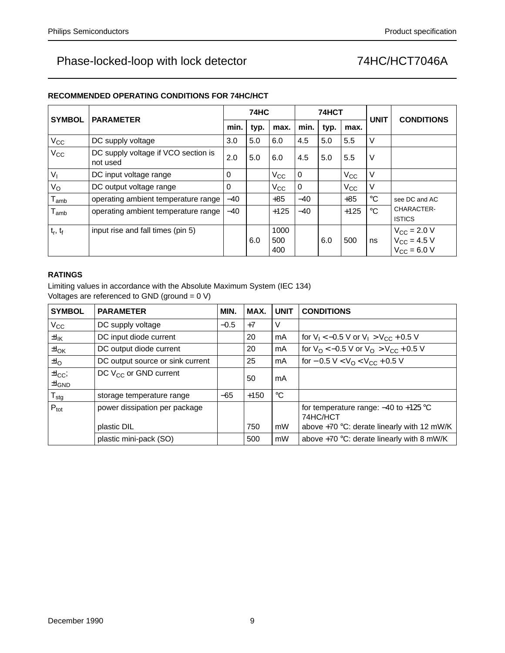| <b>SYMBOL</b>               | <b>PARAMETER</b>                                |       | <b>74HC</b> |                    |       | 74HCT |              | <b>UNIT</b>  | <b>CONDITIONS</b>                                               |  |
|-----------------------------|-------------------------------------------------|-------|-------------|--------------------|-------|-------|--------------|--------------|-----------------------------------------------------------------|--|
|                             |                                                 | min.  | typ.        | max.               | min.  | typ.  | max.         |              |                                                                 |  |
| $V_{\rm CC}$                | DC supply voltage                               | 3.0   | 5.0         | 6.0                | 4.5   | 5.0   | 5.5          | V            |                                                                 |  |
| $V_{\rm CC}$                | DC supply voltage if VCO section is<br>not used | 2.0   | 5.0         | 6.0                | 4.5   | 5.0   | 5.5          | V            |                                                                 |  |
| $V_{1}$                     | DC input voltage range                          | 0     |             | $V_{CC}$           | 0     |       | $V_{\rm CC}$ | V            |                                                                 |  |
| $V_{\rm O}$                 | DC output voltage range                         | 0     |             | $V_{\rm CC}$       | 0     |       | $V_{\rm CC}$ | V            |                                                                 |  |
| $I_{amb}$                   | operating ambient temperature range             | $-40$ |             | $+85$              | $-40$ |       | $+85$        | $^{\circ}C$  | see DC and AC                                                   |  |
| $\mathsf{T}_{\mathsf{amb}}$ | operating ambient temperature range             | $-40$ |             | $+125$             | $-40$ |       | $+125$       | $^{\circ}$ C | CHARACTER-<br><b>ISTICS</b>                                     |  |
| $t_r$ , $t_f$               | input rise and fall times (pin 5)               |       | 6.0         | 1000<br>500<br>400 |       | 6.0   | 500          | ns           | $V_{\text{CC}} = 2.0 V$<br>$V_{CC} = 4.5 V$<br>$V_{CC} = 6.0 V$ |  |

### **RATINGS**

Limiting values in accordance with the Absolute Maximum System (IEC 134) Voltages are referenced to GND (ground = 0 V)

| <b>SYMBOL</b>                 | <b>PARAMETER</b>                 | MIN.   | MAX.   | <b>UNIT</b> | <b>CONDITIONS</b>                                           |
|-------------------------------|----------------------------------|--------|--------|-------------|-------------------------------------------------------------|
| $V_{\rm CC}$                  | DC supply voltage                | $-0.5$ | $+7$   | V           |                                                             |
| $\pm I_{\mathsf{IK}}$         | DC input diode current           |        | 20     | mA          | for $V_1 < -0.5$ V or $V_1 > V_{CC} + 0.5$ V                |
| $\pm I_{OK}$                  | DC output diode current          |        | 20     | mA          | for $V_O < -0.5$ V or $V_O > V_{CC} + 0.5$ V                |
| $\pm I_{\rm O}$               | DC output source or sink current |        | 25     | mA          | for $-0.5$ V $<$ V <sub>O</sub> $<$ V <sub>CC</sub> + 0.5 V |
| $\pm I_{CC}$<br>$\pm I_{GND}$ | DC $V_{CC}$ or GND current       |        | 50     | mA          |                                                             |
| $T_{\text{stg}}$              | storage temperature range        | $-65$  | $+150$ | $^{\circ}C$ |                                                             |
| $P_{\text{tot}}$              | power dissipation per package    |        |        |             | for temperature range: $-40$ to $+125$ °C<br>74HC/HCT       |
|                               | plastic DIL                      |        | 750    | mW          | above $+70$ °C: derate linearly with 12 mW/K                |
|                               | plastic mini-pack (SO)           |        | 500    | mW          | above $+70$ °C: derate linearly with 8 mW/K                 |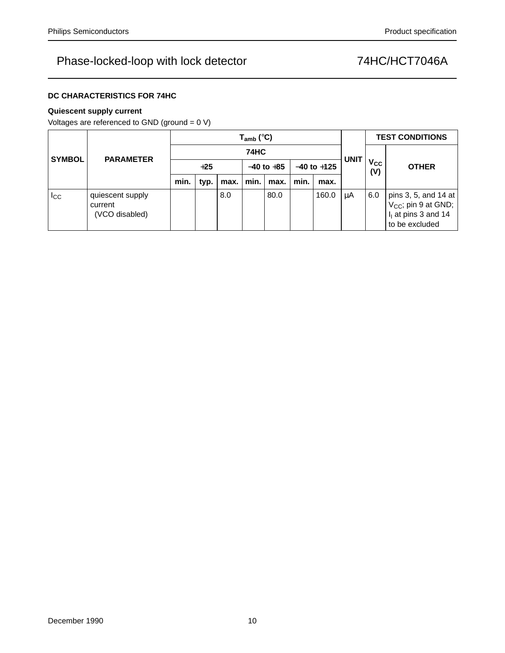### **DC CHARACTERISTICS FOR 74HC**

### **Quiescent supply current**

Voltages are referenced to GND (ground = 0 V)

|               | <b>PARAMETER</b>                              |             | $T_{amb}$ (°C) |      |                |      |      |                 |             |                              | <b>TEST CONDITIONS</b>                                                                             |  |  |
|---------------|-----------------------------------------------|-------------|----------------|------|----------------|------|------|-----------------|-------------|------------------------------|----------------------------------------------------------------------------------------------------|--|--|
| <b>SYMBOL</b> |                                               | <b>74HC</b> |                |      |                |      |      |                 |             |                              |                                                                                                    |  |  |
|               |                                               | $+25$       |                |      | $-40$ to $+85$ |      |      | $-40$ to $+125$ | <b>UNIT</b> | <b>V<sub>cc</sub></b><br>(V) | <b>OTHER</b>                                                                                       |  |  |
|               |                                               | min.        | typ.           | max. | min.           | max. | min. | max.            |             |                              |                                                                                                    |  |  |
| $_{\rm{lcc}}$ | quiescent supply<br>current<br>(VCO disabled) |             |                | 8.0  |                | 80.0 |      | 160.0           | μA          | 6.0                          | pins 3, 5, and 14 at<br>V <sub>CC</sub> ; pin 9 at GND;<br>$I1$ at pins 3 and 14<br>to be excluded |  |  |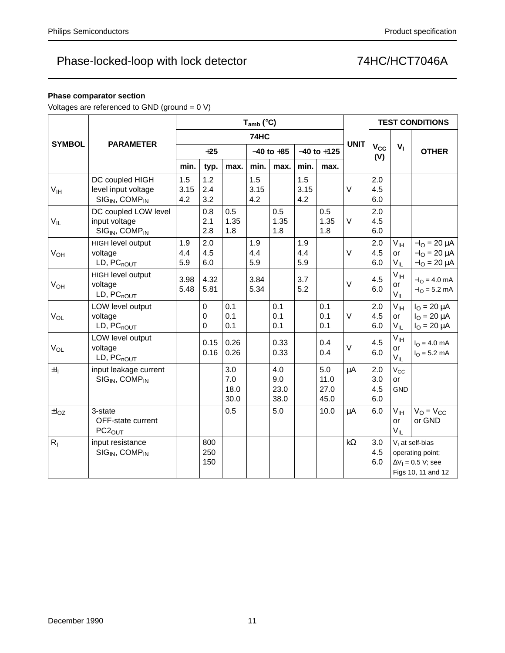### **Phase comparator section**

Voltages are referenced to GND (ground = 0 V)

|                       |                                                                                  |                    |                              |                            | $T_{amb}$ (°C)     |                            | <b>TEST CONDITIONS</b> |                             |             |                          |                                          |                                                                                          |
|-----------------------|----------------------------------------------------------------------------------|--------------------|------------------------------|----------------------------|--------------------|----------------------------|------------------------|-----------------------------|-------------|--------------------------|------------------------------------------|------------------------------------------------------------------------------------------|
|                       |                                                                                  |                    |                              |                            | 74HC               |                            |                        |                             |             | $V_{CC}$<br>(V)          |                                          | <b>OTHER</b>                                                                             |
| <b>SYMBOL</b>         | <b>PARAMETER</b>                                                                 |                    | $+25$                        |                            |                    | $-40$ to $+85$             |                        | $-40$ to $+125$             | <b>UNIT</b> |                          | $V_{1}$                                  |                                                                                          |
|                       |                                                                                  | min.               | typ.                         | max.                       | min.               | max.                       | min.                   | max.                        |             |                          |                                          |                                                                                          |
| V <sub>IH</sub>       | DC coupled HIGH<br>level input voltage<br>SIG <sub>IN</sub> , COMP <sub>IN</sub> | 1.5<br>3.15<br>4.2 | 1.2<br>2.4<br>3.2            |                            | 1.5<br>3.15<br>4.2 |                            | 1.5<br>3.15<br>4.2     |                             | $\vee$      | 2.0<br>4.5<br>6.0        |                                          |                                                                                          |
| $V_{IL}$              | DC coupled LOW level<br>input voltage<br>$SIGIN$ , COMP <sub>IN</sub>            |                    | 0.8<br>2.1<br>2.8            | 0.5<br>1.35<br>1.8         |                    | 0.5<br>1.35<br>1.8         |                        | 0.5<br>1.35<br>1.8          | V           | 2.0<br>4.5<br>6.0        |                                          |                                                                                          |
| <b>V<sub>OH</sub></b> | HIGH level output<br>voltage<br>$LD, PC_{nOUT}$                                  | 1.9<br>4.4<br>5.9  | 2.0<br>4.5<br>6.0            |                            | 1.9<br>4.4<br>5.9  |                            | 1.9<br>4.4<br>5.9      |                             | $\vee$      | 2.0<br>4.5<br>6.0        | V <sub>IH</sub><br><b>or</b><br>$V_{IL}$ | $-IO = 20 \mu A$<br>$-IO = 20 \mu A$<br>$-IO = 20 \mu A$                                 |
| $V_{OH}$              | HIGH level output<br>voltage<br>$LD, PC_{nOUT}$                                  | 3.98<br>5.48       | 4.32<br>5.81                 |                            | 3.84<br>5.34       |                            | 3.7<br>5.2             |                             | $\vee$      | 4.5<br>6.0               | V <sub>IH</sub><br>or<br>$V_{IL}$        | $-IO = 4.0$ mA<br>$-IO = 5.2$ mA                                                         |
| $V_{OL}$              | LOW level output<br>voltage<br>LD, PC <sub>nOUT</sub>                            |                    | $\mathbf 0$<br>0<br>$\Omega$ | 0.1<br>0.1<br>0.1          |                    | 0.1<br>0.1<br>0.1          |                        | 0.1<br>0.1<br>0.1           | $\vee$      | 2.0<br>4.5<br>6.0        | V <sub>IH</sub><br>or<br>$V_{IL}$        | $I_{\rm O} = 20 \mu A$<br>$I_{\rm O} = 20 \mu A$<br>$IO = 20 \mu A$                      |
| $V_{OL}$              | LOW level output<br>voltage<br>$LD, PC_{nOUT}$                                   |                    | 0.15<br>0.16                 | 0.26<br>0.26               |                    | 0.33<br>0.33               |                        | 0.4<br>0.4                  | $\vee$      | 4.5<br>6.0               | $V_{\text{IH}}$<br>or<br>$V_{IL}$        | $I_{O} = 4.0$ mA<br>$IO = 5.2 mA$                                                        |
| $\pm I_1$             | input leakage current<br>SIG <sub>IN</sub> , COMP <sub>IN</sub>                  |                    |                              | 3.0<br>7.0<br>18.0<br>30.0 |                    | 4.0<br>9.0<br>23.0<br>38.0 |                        | 5.0<br>11.0<br>27.0<br>45.0 | μA          | 2.0<br>3.0<br>4.5<br>6.0 | $V_{\rm CC}$<br><b>or</b><br><b>GND</b>  |                                                                                          |
| $\pm I_{OZ}$          | 3-state<br>OFF-state current<br>PC <sub>2</sub> <sub>OUT</sub>                   |                    |                              | 0.5                        |                    | 5.0                        |                        | 10.0                        | $\mu$ A     | 6.0                      | $V_{\text{IH}}$<br><b>or</b><br>$V_{IL}$ | $V_O = V_{CC}$<br>or GND                                                                 |
| $R_{I}$               | input resistance<br>$SIGIN$ , COMP <sub>IN</sub>                                 |                    | 800<br>250<br>150            |                            |                    |                            |                        |                             | $k\Omega$   | 3.0<br>4.5<br>6.0        |                                          | $V1$ at self-bias<br>operating point;<br>$\Delta V_1 = 0.5$ V; see<br>Figs 10, 11 and 12 |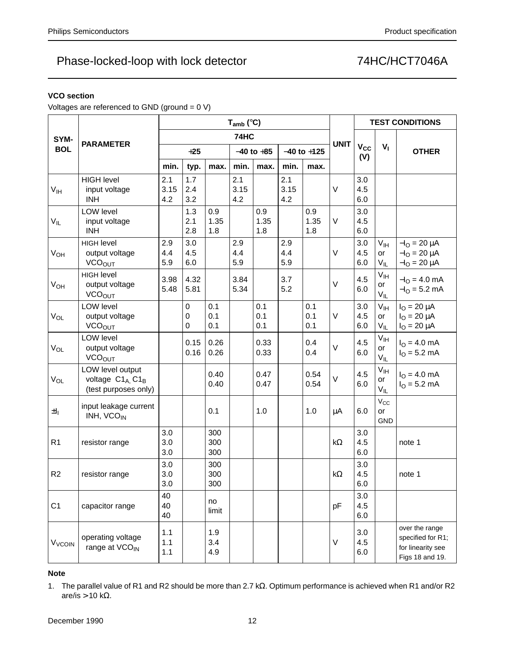### **VCO section**

Voltages are referenced to GND (ground = 0 V)

|                          |                                                                          | $T_{amb}$ (°C)     |                       |                    |                    |                    |                    |                    |             |                        |                                   | <b>TEST CONDITIONS</b>                                                      |  |
|--------------------------|--------------------------------------------------------------------------|--------------------|-----------------------|--------------------|--------------------|--------------------|--------------------|--------------------|-------------|------------------------|-----------------------------------|-----------------------------------------------------------------------------|--|
| SYM-                     |                                                                          |                    |                       |                    | 74HC               |                    |                    |                    |             |                        |                                   |                                                                             |  |
| <b>BOL</b>               | <b>PARAMETER</b>                                                         |                    | $+25$                 |                    |                    | $-40$ to $+85$     |                    | $-40$ to $+125$    | <b>UNIT</b> | V <sub>cc</sub><br>(V) | $V_{\parallel}$                   | <b>OTHER</b>                                                                |  |
|                          |                                                                          | min.               | typ.                  | max.               | min.               | max.               | min.               | max.               |             |                        |                                   |                                                                             |  |
| $V_{\text{IH}}$          | <b>HIGH level</b><br>input voltage<br><b>INH</b>                         | 2.1<br>3.15<br>4.2 | 1.7<br>2.4<br>3.2     |                    | 2.1<br>3.15<br>4.2 |                    | 2.1<br>3.15<br>4.2 |                    | $\vee$      | 3.0<br>4.5<br>6.0      |                                   |                                                                             |  |
| $V_{IL}$                 | <b>LOW level</b><br>input voltage<br><b>INH</b>                          |                    | 1.3<br>2.1<br>2.8     | 0.9<br>1.35<br>1.8 |                    | 0.9<br>1.35<br>1.8 |                    | 0.9<br>1.35<br>1.8 | V           | 3.0<br>4.5<br>6.0      |                                   |                                                                             |  |
| V <sub>OH</sub>          | <b>HIGH level</b><br>output voltage<br><b>VCOOUT</b>                     | 2.9<br>4.4<br>5.9  | 3.0<br>4.5<br>6.0     |                    | 2.9<br>4.4<br>5.9  |                    | 2.9<br>4.4<br>5.9  |                    | $\vee$      | 3.0<br>4.5<br>6.0      | $V_{\text{IH}}$<br>or<br>$V_{IL}$ | $-IO = 20 \mu A$<br>$-IO = 20 \mu A$<br>$-IO = 20 \mu A$                    |  |
| $V_{OH}$                 | <b>HIGH level</b><br>output voltage<br><b>VCO<sub>OUT</sub></b>          | 3.98<br>5.48       | 4.32<br>5.81          |                    | 3.84<br>5.34       |                    | 3.7<br>5.2         |                    | $\vee$      | 4.5<br>6.0             | V <sub>IH</sub><br>or<br>$V_{IL}$ | $-IO = 4.0$ mA<br>$-IO = 5.2 mA$                                            |  |
| $V_{OL}$                 | <b>LOW level</b><br>output voltage<br><b>VCO<sub>OUT</sub></b>           |                    | $\mathbf 0$<br>0<br>0 | 0.1<br>0.1<br>0.1  |                    | 0.1<br>0.1<br>0.1  |                    | 0.1<br>0.1<br>0.1  | $\vee$      | 3.0<br>4.5<br>6.0      | V <sub>IH</sub><br>or<br>$V_{IL}$ | $IO = 20 \mu A$<br>$I_{O} = 20 \mu A$<br>$IO = 20 \mu A$                    |  |
| <b>V<sub>OL</sub></b>    | <b>LOW level</b><br>output voltage<br><b>VCOOUT</b>                      |                    | 0.15<br>0.16          | 0.26<br>0.26       |                    | 0.33<br>0.33       |                    | 0.4<br>0.4         | $\vee$      | 4.5<br>6.0             | V <sub>IH</sub><br>or<br>$V_{IL}$ | $I_{\rm O} = 4.0 \text{ mA}$<br>$IO = 5.2 mA$                               |  |
| V <sub>OL</sub>          | LOW level output<br>voltage C1A, C1 <sub>B</sub><br>(test purposes only) |                    |                       | 0.40<br>0.40       |                    | 0.47<br>0.47       |                    | 0.54<br>0.54       | $\vee$      | 4.5<br>6.0             | V <sub>IH</sub><br>or<br>$V_{IL}$ | $I_{\Omega} = 4.0$ mA<br>$IO = 5.2 mA$                                      |  |
| $\pm I_1$                | input leakage current<br>INH, VCO <sub>IN</sub>                          |                    |                       | 0.1                |                    | 1.0                |                    | 1.0                | μA          | 6.0                    | $V_{\rm CC}$<br>or<br><b>GND</b>  |                                                                             |  |
| R <sub>1</sub>           | resistor range                                                           | 3.0<br>3.0<br>3.0  |                       | 300<br>300<br>300  |                    |                    |                    |                    | $k\Omega$   | 3.0<br>4.5<br>6.0      |                                   | note 1                                                                      |  |
| R <sub>2</sub>           | resistor range                                                           | 3.0<br>3.0<br>3.0  |                       | 300<br>300<br>300  |                    |                    |                    |                    | k $\Omega$  | 3.0<br>4.5<br>$6.0\,$  |                                   | note 1                                                                      |  |
| C <sub>1</sub>           | capacitor range                                                          | 40<br>40<br>40     |                       | no<br>limit        |                    |                    |                    |                    | pF          | 3.0<br>4.5<br>6.0      |                                   |                                                                             |  |
| <b>V<sub>VCOIN</sub></b> | operating voltage<br>range at VCO <sub>IN</sub>                          | 1.1<br>1.1<br>1.1  |                       | 1.9<br>3.4<br>4.9  |                    |                    |                    |                    | $\vee$      | 3.0<br>4.5<br>6.0      |                                   | over the range<br>specified for R1;<br>for linearity see<br>Figs 18 and 19. |  |

### **Note**

1. The parallel value of R1 and R2 should be more than 2.7 kΩ. Optimum performance is achieved when R1 and/or R2 are/is > 10 kΩ.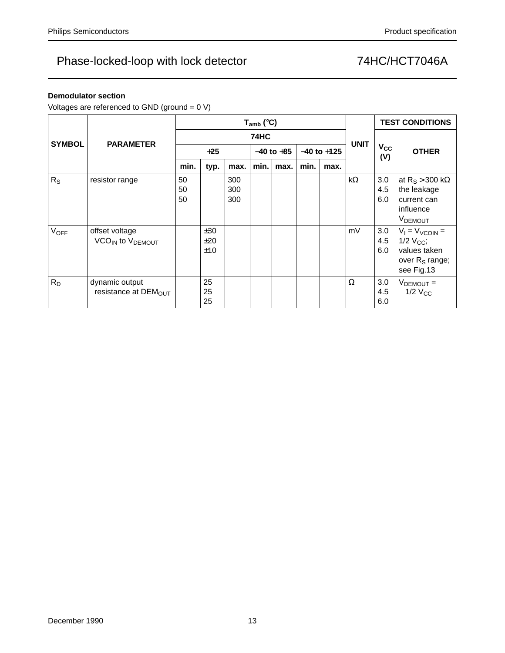### **Demodulator section**

Voltages are referenced to GND (ground = 0 V)

|               |                                                            |                |                   |                   | $T_{amb}$ (°C) |      |                 |      |             | <b>TEST CONDITIONS</b> |                                                                                            |  |
|---------------|------------------------------------------------------------|----------------|-------------------|-------------------|----------------|------|-----------------|------|-------------|------------------------|--------------------------------------------------------------------------------------------|--|
| <b>SYMBOL</b> | <b>PARAMETER</b>                                           |                |                   |                   | <b>74HC</b>    |      |                 |      | <b>UNIT</b> |                        |                                                                                            |  |
|               |                                                            | $+25$          |                   |                   | $-40$ to $+85$ |      | $-40$ to $+125$ |      |             | $V_{\rm CC}$<br>(V)    | <b>OTHER</b>                                                                               |  |
|               |                                                            | min.           | typ.              | max.              | min.           | max. | min.            | max. |             |                        |                                                                                            |  |
| $R_{S}$       | resistor range                                             | 50<br>50<br>50 |                   | 300<br>300<br>300 |                |      |                 |      | $k\Omega$   | 3.0<br>4.5<br>6.0      | at $R_S$ > 300 k $\Omega$<br>the leakage<br>current can<br>influence<br><b>VDEMOUT</b>     |  |
| <b>VOFF</b>   | offset voltage<br>VCO <sub>IN</sub> to V <sub>DEMOUT</sub> |                | ±30<br>±20<br>±10 |                   |                |      |                 |      | mV          | 3.0<br>4.5<br>6.0      | $V_1 = V_{VCOIN} =$<br>$1/2$ $V_{CC}$ ;<br>values taken<br>over $R_S$ range;<br>see Fig.13 |  |
| $R_D$         | dynamic output<br>resistance at $DEMOUT$                   |                | 25<br>25<br>25    |                   |                |      |                 |      | Ω           | 3.0<br>4.5<br>6.0      | $VDEMOUT =$<br>$1/2$ $V_{CC}$                                                              |  |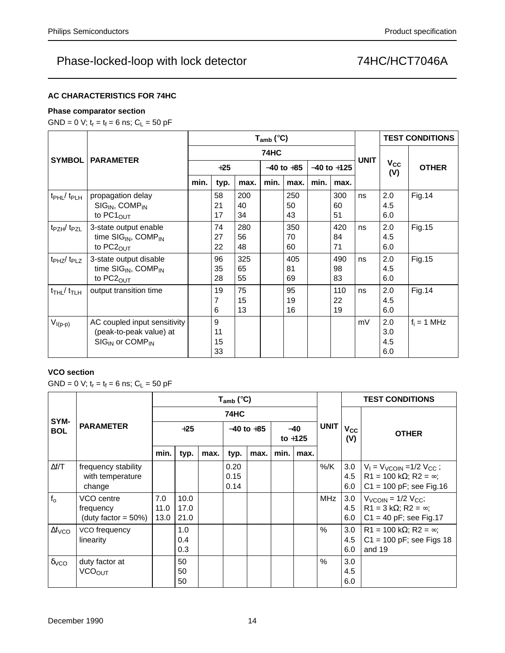### **AC CHARACTERISTICS FOR 74HC**

### **Phase comparator section**

GND = 0 V;  $t_r = t_f = 6$  ns;  $C_L = 50$  pF

|                                        |                                                                                         |       |                     |                 | $T_{amb}$ (°C) |                 |                 | <b>TEST CONDITIONS</b> |             |                          |               |
|----------------------------------------|-----------------------------------------------------------------------------------------|-------|---------------------|-----------------|----------------|-----------------|-----------------|------------------------|-------------|--------------------------|---------------|
| <b>SYMBOL</b>                          | <b>PARAMETER</b>                                                                        |       |                     |                 | <b>74HC</b>    |                 |                 |                        | <b>UNIT</b> |                          |               |
|                                        |                                                                                         | $+25$ |                     |                 | $-40$ to $+85$ |                 | $-40$ to $+125$ |                        |             | $V_{\rm CC}$<br>(V)      | <b>OTHER</b>  |
|                                        |                                                                                         | min.  | typ.                | max.            | min.           | max.            | min.            | max.                   |             |                          |               |
| t <sub>PHL</sub> /t <sub>PLH</sub>     | propagation delay<br>$SIG_{IN}$ , COMP <sub>IN</sub><br>to $PC1OUT$                     |       | 58<br>21<br>17      | 200<br>40<br>34 |                | 250<br>50<br>43 |                 | 300<br>60<br>51        | ns          | 2.0<br>4.5<br>6.0        | <b>Fig.14</b> |
| $t_{PZH}/t_{PZL}$                      | 3-state output enable<br>time $SIG_{IN}$ , COMP <sub>IN</sub><br>to $PC2_{OUT}$         |       | 74<br>27<br>22      | 280<br>56<br>48 |                | 350<br>70<br>60 |                 | 420<br>84<br>71        | ns          | 2.0<br>4.5<br>6.0        | Fig. 15       |
| $t_{PHZ}/t_{PLZ}$                      | 3-state output disable<br>time SIG <sub>IN</sub> , COMP <sub>IN</sub><br>to $PC2_{OUT}$ |       | 96<br>35<br>28      | 325<br>65<br>55 |                | 405<br>81<br>69 |                 | 490<br>98<br>83        | ns          | 2.0<br>4.5<br>6.0        | Fig. 15       |
| $t$ <sub>THL</sub> $/t$ <sub>TLH</sub> | output transition time                                                                  |       | 19<br>7<br>6        | 75<br>15<br>13  |                | 95<br>19<br>16  |                 | 110<br>22<br>19        | ns          | 2.0<br>4.5<br>6.0        | <b>Fig.14</b> |
| $V_{I(p-p)}$                           | AC coupled input sensitivity<br>(peak-to-peak value) at<br>$SIGIN$ or $COMPIN$          |       | 9<br>11<br>15<br>33 |                 |                |                 |                 |                        | mV          | 2.0<br>3.0<br>4.5<br>6.0 | $f_i = 1$ MHz |

### **VCO section**

GND = 0 V;  $t_r = t_f = 6$  ns;  $C_L = 50$  pF

|                         |                                                    |                     |                      |      | $T_{amb}$ (°C)       |                |      |                                   |               | <b>TEST CONDITIONS</b>         |                                                                                                        |  |  |
|-------------------------|----------------------------------------------------|---------------------|----------------------|------|----------------------|----------------|------|-----------------------------------|---------------|--------------------------------|--------------------------------------------------------------------------------------------------------|--|--|
|                         |                                                    |                     |                      |      | <b>74HC</b>          |                |      |                                   |               |                                |                                                                                                        |  |  |
| SYM-<br><b>BOL</b>      | <b>PARAMETER</b>                                   | $+25$               |                      |      |                      | $-40$ to $+85$ |      | <b>UNIT</b><br>$-40$<br>to $+125$ |               | $V_{\rm CC}$<br>(V)            | <b>OTHER</b>                                                                                           |  |  |
|                         |                                                    | min.                | typ.                 | max. | typ.                 | max.           | min. | max.                              |               |                                |                                                                                                        |  |  |
| $\Delta f/T$            | frequency stability<br>with temperature<br>change  |                     |                      |      | 0.20<br>0.15<br>0.14 |                |      |                                   | %/K           | 3.0<br>4.5<br>6.0              | $V_1 = V_{VCOIN} = 1/2 V_{CC}$ ;<br>$R1 = 100 k\Omega$ ; $R2 = \infty$ ;<br>$C1 = 100 pF$ ; see Fig.16 |  |  |
| f <sub>o</sub>          | VCO centre<br>frequency<br>(duty factor = $50\%$ ) | 7.0<br>11.0<br>13.0 | 10.0<br>17.0<br>21.0 |      |                      |                |      |                                   | MHz           | 3.0<br>4.5<br>6.0              | $V_{VCOIN}$ = 1/2 $V_{CC}$ ;<br>$R1 = 3 k\Omega$ ; $R2 = \infty$ ;<br>$C1 = 40$ pF; see Fig.17         |  |  |
| $\Delta f_{VCO}$        | VCO frequency<br>linearity                         |                     | 1.0<br>0.4<br>0.3    |      |                      |                |      |                                   | $\frac{0}{0}$ | 3.0 <sub>2</sub><br>4.5<br>6.0 | R1 = 100 k $\Omega$ ; R2 = $\infty$ ;<br>$C1 = 100$ pF; see Figs 18<br>and 19                          |  |  |
| $\delta$ <sub>VCO</sub> | duty factor at<br><b>VCOOUT</b>                    |                     | 50<br>50<br>50       |      |                      |                |      |                                   | $\frac{0}{0}$ | 3.0<br>4.5<br>6.0              |                                                                                                        |  |  |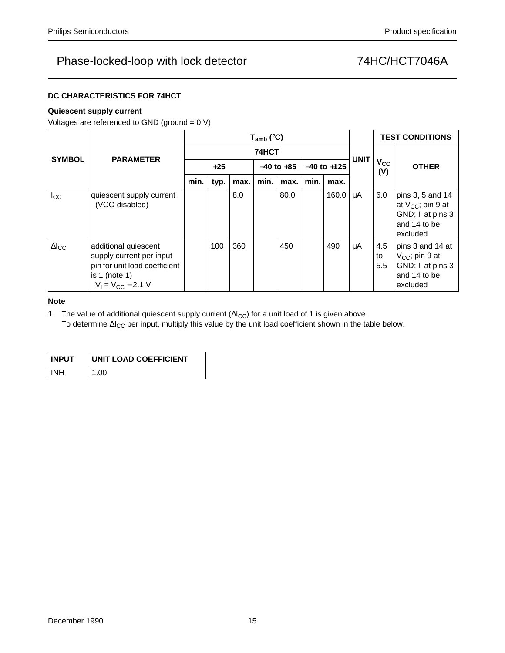### **DC CHARACTERISTICS FOR 74HCT**

### **Quiescent supply current**

Voltages are referenced to GND (ground = 0 V)

|                        |                                                                                                                              |       | $T_{amb}$ (°C) |      |                |      |                 |       |             |                     | <b>TEST CONDITIONS</b>                                                                         |
|------------------------|------------------------------------------------------------------------------------------------------------------------------|-------|----------------|------|----------------|------|-----------------|-------|-------------|---------------------|------------------------------------------------------------------------------------------------|
| <b>SYMBOL</b>          | <b>PARAMETER</b>                                                                                                             |       | 74HCT          |      |                |      |                 |       |             |                     |                                                                                                |
|                        |                                                                                                                              | $+25$ |                |      | $-40$ to $+85$ |      | $-40$ to $+125$ |       | <b>UNIT</b> | $V_{\rm CC}$<br>(V) | <b>OTHER</b>                                                                                   |
|                        |                                                                                                                              | min.  | typ.           | max. | min.           | max. | min.            | max.  |             |                     |                                                                                                |
| $I_{\rm CC}$           | quiescent supply current<br>(VCO disabled)                                                                                   |       |                | 8.0  |                | 80.0 |                 | 160.0 | μA          | 6.0                 | pins 3, 5 and 14<br>at $V_{CC}$ ; pin 9 at<br>GND; $I_1$ at pins 3<br>and 14 to be<br>excluded |
| $\Delta$ <sub>cc</sub> | additional quiescent<br>supply current per input<br>pin for unit load coefficient<br>is 1 (note 1)<br>$V_1 = V_{CC} - 2.1 V$ |       | 100            | 360  |                | 450  |                 | 490   | μA          | 4.5<br>to<br>5.5    | pins 3 and 14 at<br>$V_{CC}$ ; pin 9 at<br>GND; $I1$ at pins 3<br>and 14 to be<br>excluded     |

### **Note**

1. The value of additional quiescent supply current (Δl<sub>CC</sub>) for a unit load of 1 is given above. To determine ∆I<sub>CC</sub> per input, multiply this value by the unit load coefficient shown in the table below.

| <b>INPUT</b> | UNIT LOAD COEFFICIENT |
|--------------|-----------------------|
| ' INH        | 1.00                  |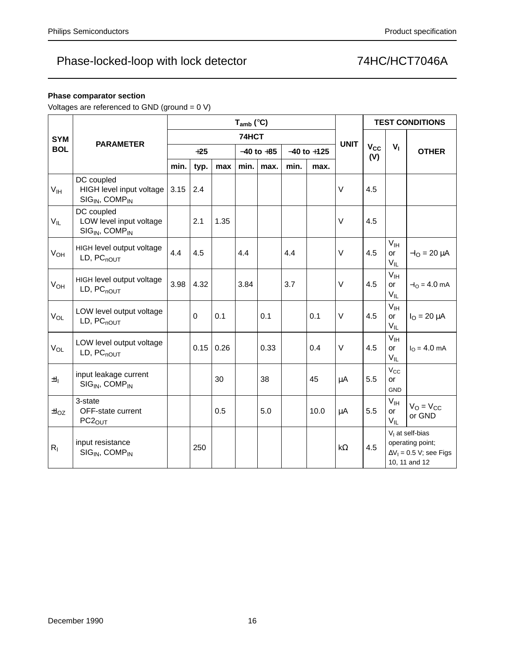### **Phase comparator section**

Voltages are referenced to GND (ground = 0 V)

|                 |                                                                                  | $T_{amb}$ (°C) |          |      |                |       |                 |      |             | <b>TEST CONDITIONS</b> |                                          |                                                                                          |  |
|-----------------|----------------------------------------------------------------------------------|----------------|----------|------|----------------|-------|-----------------|------|-------------|------------------------|------------------------------------------|------------------------------------------------------------------------------------------|--|
| <b>SYM</b>      |                                                                                  |                |          |      |                | 74HCT |                 |      |             | $V_{CC}$<br>(V)        |                                          |                                                                                          |  |
| <b>BOL</b>      | <b>PARAMETER</b>                                                                 |                | $+25$    |      | $-40$ to $+85$ |       | $-40$ to $+125$ |      | <b>UNIT</b> |                        | V <sub>1</sub>                           | <b>OTHER</b>                                                                             |  |
|                 |                                                                                  | min.           | typ.     | max  | min.           | max.  | min.            | max. |             |                        |                                          |                                                                                          |  |
| $V_{\text{IH}}$ | DC coupled<br>HIGH level input voltage<br>SIG <sub>IN</sub> , COMP <sub>IN</sub> | 3.15           | 2.4      |      |                |       |                 |      | $\vee$      | 4.5                    |                                          |                                                                                          |  |
| $V_{IL}$        | DC coupled<br>LOW level input voltage<br>SIG <sub>IN</sub> , COMP <sub>IN</sub>  |                | 2.1      | 1.35 |                |       |                 |      | $\vee$      | 4.5                    |                                          |                                                                                          |  |
| V <sub>OH</sub> | HIGH level output voltage<br>LD, PC <sub>nOUT</sub>                              | 4.4            | 4.5      |      | 4.4            |       | 4.4             |      | $\vee$      | 4.5                    | V <sub>IH</sub><br>or<br>$V_{IL}$        | $-IO = 20 \mu A$                                                                         |  |
| $V_{OH}$        | HIGH level output voltage<br>LD, PC <sub>nOUT</sub>                              | 3.98           | 4.32     |      | 3.84           |       | 3.7             |      | $\vee$      | 4.5                    | V <sub>IH</sub><br>or<br>$V_{IL}$        | $-IO = 4.0$ mA                                                                           |  |
| $V_{OL}$        | LOW level output voltage<br>$LD, PC_{nOUT}$                                      |                | $\Omega$ | 0.1  |                | 0.1   |                 | 0.1  | $\vee$      | 4.5                    | V <sub>IH</sub><br><b>or</b><br>$V_{IL}$ | $I_{\Omega} = 20 \mu A$                                                                  |  |
| $V_{OL}$        | LOW level output voltage<br>$LD, PC_{nOUT}$                                      |                | 0.15     | 0.26 |                | 0.33  |                 | 0.4  | $\vee$      | 4.5                    | V <sub>IH</sub><br><b>or</b><br>$V_{IL}$ | $IO = 4.0 mA$                                                                            |  |
| $\pm I_1$       | input leakage current<br>SIG <sub>IN</sub> , COMP <sub>IN</sub>                  |                |          | 30   |                | 38    |                 | 45   | μA          | 5.5                    | $V_{CC}$<br>or<br>GND                    |                                                                                          |  |
| $\pm I_{OZ}$    | 3-state<br>OFF-state current<br>PC2 <sub>OUT</sub>                               |                |          | 0.5  |                | 5.0   |                 | 10.0 | μA          | 5.5                    | V <sub>IH</sub><br>or<br>$V_{IL}$        | $V_O = V_{CC}$<br>or GND                                                                 |  |
| $R_{I}$         | input resistance<br>$SIGIN$ , COMP <sub>IN</sub>                                 |                | 250      |      |                |       |                 |      | $k\Omega$   | 4.5                    |                                          | $V1$ at self-bias<br>operating point;<br>$\Delta V_1 = 0.5$ V; see Figs<br>10, 11 and 12 |  |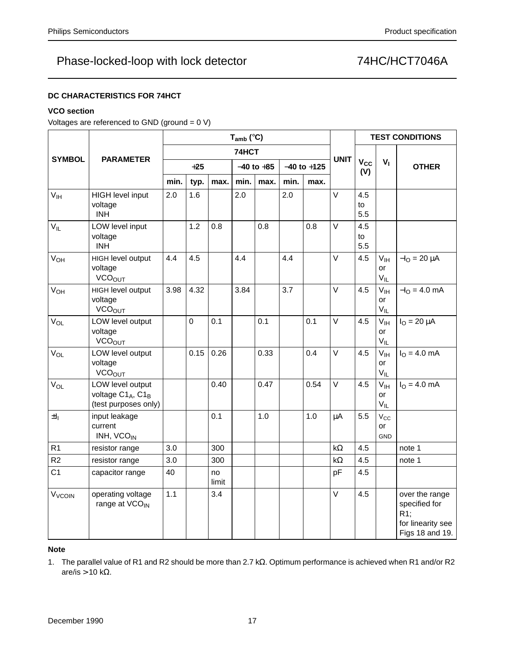### **DC CHARACTERISTICS FOR 74HCT**

### **VCO section**

Voltages are referenced to GND (ground = 0 V)

|                    |                                                              | $T_{amb}$ ( $°C$ ) |      |             |       |                                   |      |      |             | <b>TEST CONDITIONS</b>       |                                   |                                                                                   |  |
|--------------------|--------------------------------------------------------------|--------------------|------|-------------|-------|-----------------------------------|------|------|-------------|------------------------------|-----------------------------------|-----------------------------------------------------------------------------------|--|
|                    |                                                              |                    |      |             | 74HCT |                                   |      |      |             |                              |                                   |                                                                                   |  |
| <b>SYMBOL</b>      | <b>PARAMETER</b>                                             | $+25$              |      |             |       | $-40$ to $+125$<br>$-40$ to $+85$ |      |      | <b>UNIT</b> | <b>V<sub>cc</sub></b><br>(V) | $V_{I}$                           | <b>OTHER</b>                                                                      |  |
|                    |                                                              | min.               | typ. | max.        | min.  | max.                              | min. | max. |             |                              |                                   |                                                                                   |  |
| V <sub>IH</sub>    | <b>HIGH level input</b><br>voltage<br><b>INH</b>             | 2.0                | 1.6  |             | 2.0   |                                   | 2.0  |      | $\vee$      | 4.5<br>to<br>5.5             |                                   |                                                                                   |  |
| $V_{IL}$           | LOW level input<br>voltage<br><b>INH</b>                     |                    | 1.2  | 0.8         |       | 0.8                               |      | 0.8  | $\vee$      | 4.5<br>to<br>5.5             |                                   |                                                                                   |  |
| $V_{OH}$           | HIGH level output<br>voltage<br><b>VCO<sub>OUT</sub></b>     | 4.4                | 4.5  |             | 4.4   |                                   | 4.4  |      | V           | 4.5                          | $V_{\text{IH}}$<br>or<br>$V_{IL}$ | $-IO = 20 \mu A$                                                                  |  |
| $V_{OH}$           | HIGH level output<br>voltage<br><b>VCO<sub>OUT</sub></b>     | 3.98               | 4.32 |             | 3.84  |                                   | 3.7  |      | $\vee$      | 4.5                          | $V_{\text{IH}}$<br>or<br>$V_{IL}$ | $-IO = 4.0$ mA                                                                    |  |
| $V_{OL}$           | LOW level output<br>voltage<br><b>VCO<sub>OUT</sub></b>      |                    | 0    | 0.1         |       | 0.1                               |      | 0.1  | $\vee$      | 4.5                          | V <sub>IH</sub><br>or<br>$V_{IL}$ | $IO = 20 \mu A$                                                                   |  |
| V <sub>OL</sub>    | LOW level output<br>voltage<br><b>VCO<sub>OUT</sub></b>      |                    | 0.15 | 0.26        |       | 0.33                              |      | 0.4  | $\vee$      | 4.5                          | V <sub>IH</sub><br>or<br>$V_{IL}$ | $IO = 4.0 mA$                                                                     |  |
| $V_{OL}$           | LOW level output<br>voltage C1A, C1B<br>(test purposes only) |                    |      | 0.40        |       | 0.47                              |      | 0.54 | $\vee$      | 4.5                          | $V_{IH}$<br><b>or</b><br>$V_{IL}$ | $I_{O} = 4.0$ mA                                                                  |  |
| $\pm I_1$          | input leakage<br>current<br>INH, VCO <sub>IN</sub>           |                    |      | 0.1         |       | 1.0                               |      | 1.0  | $\mu$ A     | 5.5                          | $V_{\rm CC}$<br>or<br><b>GND</b>  |                                                                                   |  |
| R1                 | resistor range                                               | 3.0                |      | 300         |       |                                   |      |      | $k\Omega$   | 4.5                          |                                   | note 1                                                                            |  |
| R2                 | resistor range                                               | 3.0                |      | 300         |       |                                   |      |      | k $\Omega$  | 4.5                          |                                   | note 1                                                                            |  |
| C <sub>1</sub>     | capacitor range                                              | 40                 |      | no<br>limit |       |                                   |      |      | pF          | 4.5                          |                                   |                                                                                   |  |
| V <sub>VCOIN</sub> | operating voltage<br>range at VCO <sub>IN</sub>              | 1.1                |      | 3.4         |       |                                   |      |      | $\vee$      | 4.5                          |                                   | over the range<br>specified for<br>$R1$ :<br>for linearity see<br>Figs 18 and 19. |  |

### **Note**

1. The parallel value of R1 and R2 should be more than 2.7 kΩ. Optimum performance is achieved when R1 and/or R2 are/is > 10 k $\Omega$ .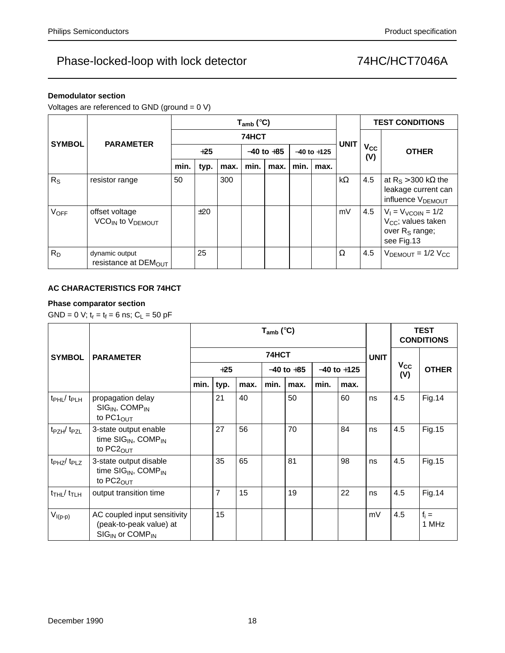### **Demodulator section**

Voltages are referenced to GND (ground = 0 V)

|               |                                                            |       |       |      | $T_{amb}$ (°C) |                | <b>TEST CONDITIONS</b> |                 |             |                     |                                                                                                       |  |
|---------------|------------------------------------------------------------|-------|-------|------|----------------|----------------|------------------------|-----------------|-------------|---------------------|-------------------------------------------------------------------------------------------------------|--|
| <b>SYMBOL</b> |                                                            | 74HCT |       |      |                |                |                        |                 | <b>UNIT</b> |                     |                                                                                                       |  |
|               | <b>PARAMETER</b>                                           |       | $+25$ |      |                | $-40$ to $+85$ |                        | $-40$ to $+125$ |             | $V_{\rm CC}$<br>(V) | <b>OTHER</b>                                                                                          |  |
|               |                                                            | min.  | typ.  | max. | min.           | max.           | min.                   | max.            |             |                     |                                                                                                       |  |
| $R_{S}$       | resistor range                                             | 50    |       | 300  |                |                |                        |                 | $k\Omega$   | 4.5                 | at $R_S > 300$ k $\Omega$ the<br>leakage current can<br>influence V <sub>DEMOUT</sub>                 |  |
| <b>VOFF</b>   | offset voltage<br>VCO <sub>IN</sub> to V <sub>DEMOUT</sub> |       | ±20   |      |                |                |                        |                 | mV          | 4.5                 | $V_1 = V_{VCOIN} = 1/2$<br>V <sub>CC</sub> ; values taken<br>over R <sub>S</sub> range;<br>see Fig.13 |  |
| $R_D$         | dynamic output<br>resistance at $DEM_{OUT}$                |       | 25    |      |                |                |                        |                 | Ω           | 4.5                 | $VDEMOUT = 1/2 VCC$                                                                                   |  |

### **AC CHARACTERISTICS FOR 74HCT**

### **Phase comparator section**

GND = 0 V;  $t_r = t_f = 6$  ns;  $C_L = 50$  pF

|                                     |                                                                                                    |       |                |      |                | <b>TEST</b><br><b>CONDITIONS</b> |                 |      |    |                 |                  |
|-------------------------------------|----------------------------------------------------------------------------------------------------|-------|----------------|------|----------------|----------------------------------|-----------------|------|----|-----------------|------------------|
| <b>SYMBOL</b>                       | <b>PARAMETER</b>                                                                                   |       |                |      |                | <b>UNIT</b>                      |                 |      |    |                 |                  |
|                                     |                                                                                                    | $+25$ |                |      | $-40$ to $+85$ |                                  | $-40$ to $+125$ |      |    | $V_{CC}$<br>(V) | <b>OTHER</b>     |
|                                     |                                                                                                    | min.  | typ.           | max. | min.           | max.                             | min.            | max. |    |                 |                  |
| t <sub>PHL</sub> / t <sub>PLH</sub> | propagation delay<br>$SIGIN$ , COMP <sub>IN</sub><br>to $PC1OUT$                                   |       | 21             | 40   |                | 50                               |                 | 60   | ns | 4.5             | <b>Fig.14</b>    |
| $t_{PZH}/t_{PZL}$                   | 3-state output enable<br>time SIG <sub>IN</sub> , COMP <sub>IN</sub><br>to PC2 <sub>OUT</sub>      |       | 27             | 56   |                | 70                               |                 | 84   | ns | 4.5             | Fig. 15          |
| $t_{PHZ}/t_{PLZ}$                   | 3-state output disable<br>time $SIG_{IN}$ , COMP <sub>IN</sub><br>to $PC2_{OUT}$                   |       | 35             | 65   |                | 81                               |                 | 98   | ns | 4.5             | Fig. 15          |
| $t$ THL $/$ $t$ TLH                 | output transition time                                                                             |       | $\overline{7}$ | 15   |                | 19                               |                 | 22   | ns | 4.5             | <b>Fig.14</b>    |
| $V_{I(p-p)}$                        | AC coupled input sensitivity<br>(peak-to-peak value) at<br>SIG <sub>IN</sub> or COMP <sub>IN</sub> |       | 15             |      |                |                                  |                 |      | mV | 4.5             | $f_i =$<br>1 MHz |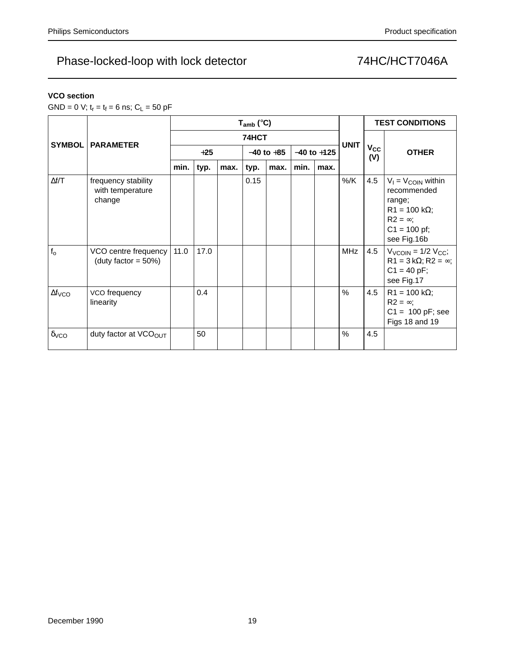### **VCO section**

GND = 0 V;  $t_r = t_f = 6$  ns;  $C_L = 50$  pF

|                         |                                                   |       |      |      | $T_{amb}$ (°C) |             | <b>TEST CONDITIONS</b> |                 |            |                     |                                                                                                                                     |
|-------------------------|---------------------------------------------------|-------|------|------|----------------|-------------|------------------------|-----------------|------------|---------------------|-------------------------------------------------------------------------------------------------------------------------------------|
|                         |                                                   |       |      |      | 74HCT          | <b>UNIT</b> |                        |                 |            |                     |                                                                                                                                     |
| <b>SYMBOL</b>           | <b>PARAMETER</b>                                  | $+25$ |      |      | $-40$ to $+85$ |             |                        | $-40$ to $+125$ |            | $V_{\rm CC}$<br>(V) | <b>OTHER</b>                                                                                                                        |
|                         |                                                   | min.  | typ. | max. | typ.           | max.        | min.                   | max.            |            |                     |                                                                                                                                     |
| $\Delta f/T$            | frequency stability<br>with temperature<br>change |       |      |      | 0.15           |             |                        |                 | %/K        | 4.5                 | $V_1 = V_{\text{COIN}}$ within<br>recommended<br>range;<br>$R1 = 100 k\Omega$ ;<br>$R2 = \infty$ ;<br>$C1 = 100$ pf;<br>see Fig.16b |
| $f_{o}$                 | VCO centre frequency<br>(duty factor = $50\%$ )   | 11.0  | 17.0 |      |                |             |                        |                 | <b>MHz</b> | 4.5                 | $V_{VCOIN}$ = 1/2 $V_{CC}$ ;<br>$R1 = 3 k\Omega$ ; $R2 = \infty$ ;<br>$C1 = 40 pF;$<br>see Fig.17                                   |
| $\Delta f_{VCO}$        | VCO frequency<br>linearity                        |       | 0.4  |      |                |             |                        |                 | $\%$       | 4.5                 | $R1 = 100 k\Omega$ ;<br>$R2 = \infty$ ;<br>$C1 = 100 pF$ ; see<br>Figs 18 and 19                                                    |
| $\delta$ <sub>VCO</sub> | duty factor at VCO <sub>OUT</sub>                 |       | 50   |      |                |             |                        |                 | $\%$       | 4.5                 |                                                                                                                                     |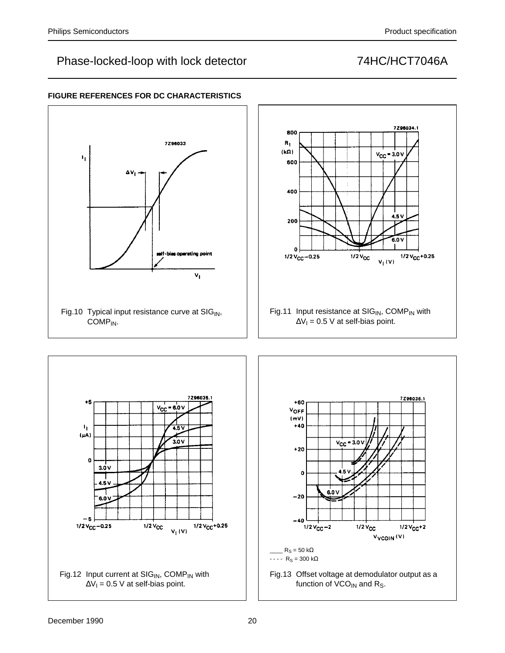7296034.1

 $V_{CC}$  = 3.0 V

 $4.5V$ 

 $6.0V$ 

 $V_1(V)$ 

 $1/2$   $V_{CC}$ +0.25

7296036.1

 $1/2$   $V_{CC}$ +2

Vycoln<sup>(V)</sup>



### **FIGURE REFERENCES FOR DC CHARACTERISTICS**



Fig.12 Input current at  $SIG_{IN}$ , COMP<sub>IN</sub> with  $\Delta V_1 = 0.5$  V at self-bias point.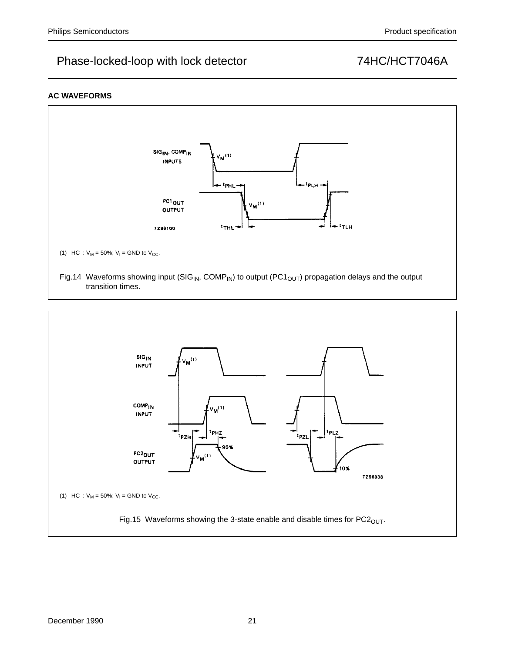### **AC WAVEFORMS**



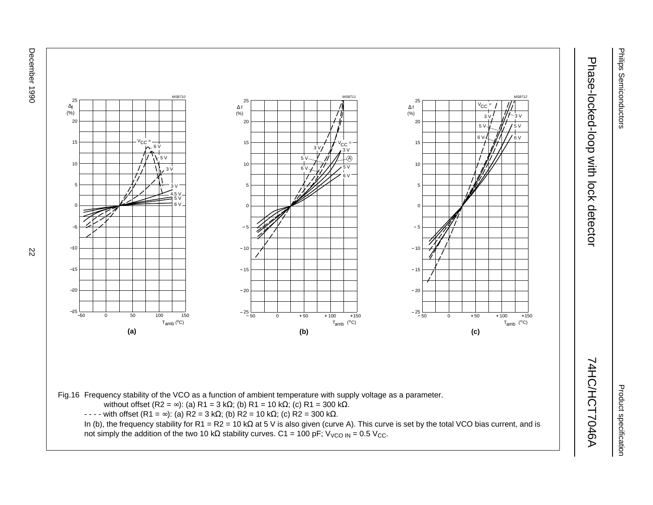December 1990 December 1990 22



Product specification Product specification

 $\overline{5}$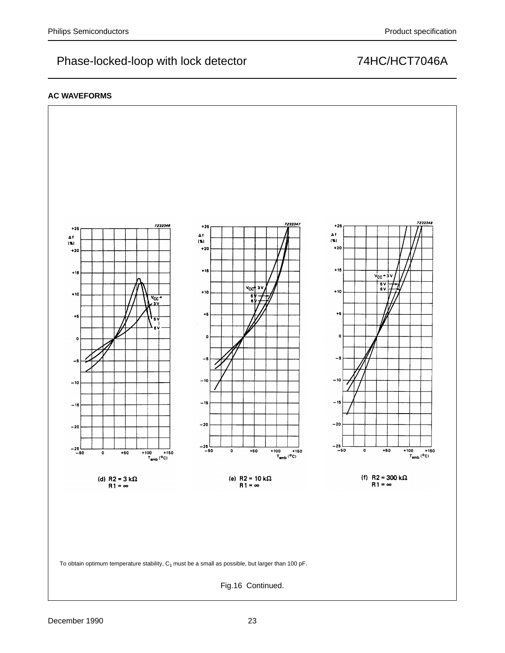### **AC WAVEFORMS**

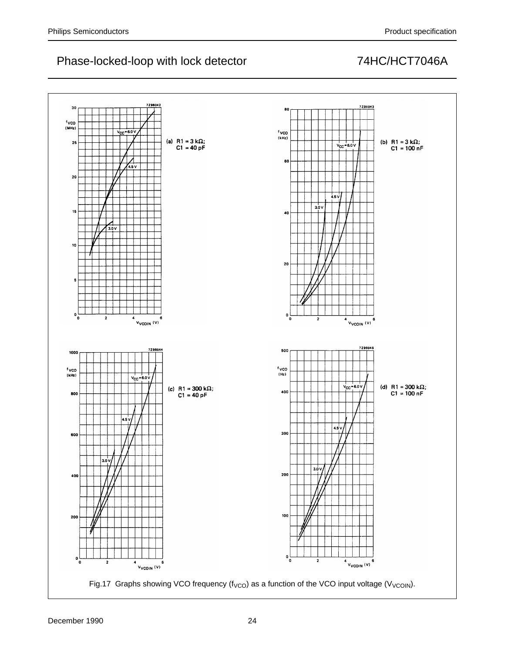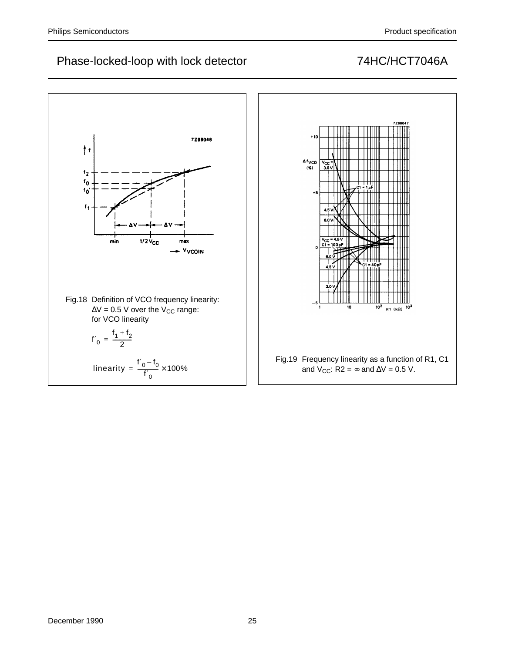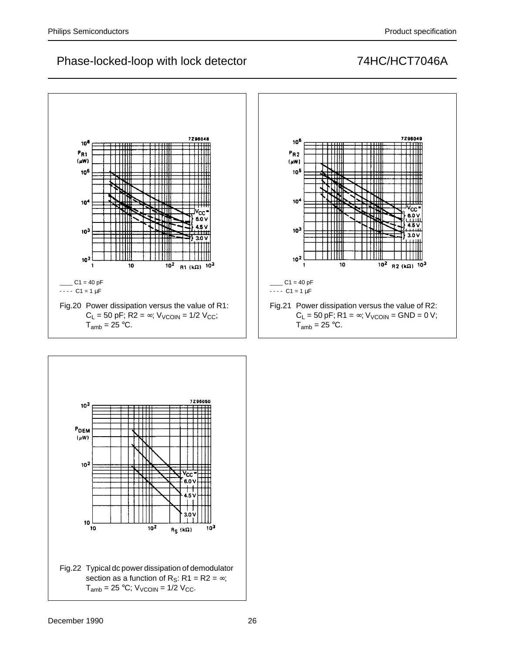

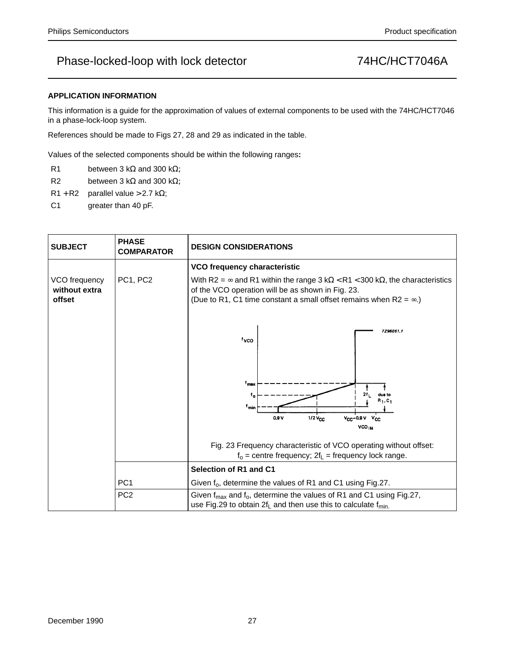### **APPLICATION INFORMATION**

This information is a guide for the approximation of values of external components to be used with the 74HC/HCT7046 in a phase-lock-loop system.

References should be made to Figs 27, 28 and 29 as indicated in the table.

Values of the selected components should be within the following ranges**:**

- R1 between 3 k $\Omega$  and 300 k $\Omega$ ;
- R2 between 3 k $\Omega$  and 300 k $\Omega$ ;
- $R1 + R2$  parallel value > 2.7 kΩ;
- C1 greater than 40 pF.

| <b>SUBJECT</b>                           | <b>PHASE</b><br><b>COMPARATOR</b> | <b>DESIGN CONSIDERATIONS</b>                                                                                                                                                                                                          |  |  |  |  |  |  |
|------------------------------------------|-----------------------------------|---------------------------------------------------------------------------------------------------------------------------------------------------------------------------------------------------------------------------------------|--|--|--|--|--|--|
|                                          |                                   | VCO frequency characteristic                                                                                                                                                                                                          |  |  |  |  |  |  |
| VCO frequency<br>without extra<br>offset | PC1, PC2                          | With R2 = $\infty$ and R1 within the range 3 k $\Omega$ < R1 < 300 k $\Omega$ , the characteristics<br>of the VCO operation will be as shown in Fig. 23.<br>(Due to R1, C1 time constant a small offset remains when $R2 = \infty$ .) |  |  |  |  |  |  |
|                                          |                                   | 7296051.1<br>tyco                                                                                                                                                                                                                     |  |  |  |  |  |  |
|                                          |                                   | f <sub>max</sub><br>2f.<br>due to<br>$t_{\alpha}$<br>$R_1, C_1$<br><sup>f</sup> min<br>0.9V<br>$1/2V_{CC}$<br>$V_{CC} - 0.9V$ $V_{CC}$<br><b>VCO<sub>IN</sub></b>                                                                     |  |  |  |  |  |  |
|                                          |                                   | Fig. 23 Frequency characteristic of VCO operating without offset:<br>$f_0$ = centre frequency; $2f_L$ = frequency lock range.                                                                                                         |  |  |  |  |  |  |
|                                          |                                   | Selection of R1 and C1                                                                                                                                                                                                                |  |  |  |  |  |  |
|                                          | PC <sub>1</sub>                   | Given f <sub>o</sub> , determine the values of R1 and C1 using Fig.27.                                                                                                                                                                |  |  |  |  |  |  |
|                                          | PC <sub>2</sub>                   | Given $f_{\text{max}}$ and $f_o$ , determine the values of R1 and C1 using Fig.27,<br>use Fig.29 to obtain $2f_L$ and then use this to calculate $f_{min}$ .                                                                          |  |  |  |  |  |  |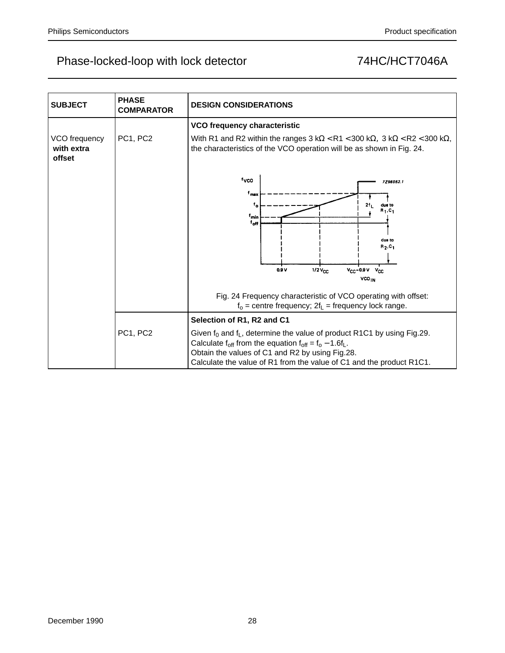| <b>SUBJECT</b>                        | <b>PHASE</b><br><b>COMPARATOR</b> | <b>DESIGN CONSIDERATIONS</b>                                                                                                                                                                                                                                                |  |  |  |  |  |  |  |
|---------------------------------------|-----------------------------------|-----------------------------------------------------------------------------------------------------------------------------------------------------------------------------------------------------------------------------------------------------------------------------|--|--|--|--|--|--|--|
|                                       |                                   | VCO frequency characteristic                                                                                                                                                                                                                                                |  |  |  |  |  |  |  |
| VCO frequency<br>with extra<br>offset | PC1, PC2                          | With R1 and R2 within the ranges $3 k\Omega < R1 < 300 k\Omega$ , $3 k\Omega < R2 < 300 k\Omega$ ,<br>the characteristics of the VCO operation will be as shown in Fig. 24.                                                                                                 |  |  |  |  |  |  |  |
|                                       |                                   | fyco<br>7296052.1                                                                                                                                                                                                                                                           |  |  |  |  |  |  |  |
|                                       |                                   | $^{\mathsf{f}}$ max<br>2 <sub>1</sub><br>۴.<br>due to<br>$R_1, C_1$<br>f <sub>min</sub><br>†off                                                                                                                                                                             |  |  |  |  |  |  |  |
|                                       |                                   | due to<br>$R_2, C_1$                                                                                                                                                                                                                                                        |  |  |  |  |  |  |  |
|                                       |                                   | $V_{CC}$ -0.9 $V_{CC}$<br>0.9V<br>$1/2V_{CC}$<br>VCO <sub>IN</sub>                                                                                                                                                                                                          |  |  |  |  |  |  |  |
|                                       |                                   | Fig. 24 Frequency characteristic of VCO operating with offset:<br>$f_0$ = centre frequency; $2f_L$ = frequency lock range.                                                                                                                                                  |  |  |  |  |  |  |  |
|                                       |                                   | Selection of R1, R2 and C1                                                                                                                                                                                                                                                  |  |  |  |  |  |  |  |
|                                       | PC1, PC2                          | Given $f_0$ and $f_L$ , determine the value of product R1C1 by using Fig.29.<br>Calculate $f_{off}$ from the equation $f_{off} = f_0 - 1.6f_L$ .<br>Obtain the values of C1 and R2 by using Fig.28.<br>Calculate the value of R1 from the value of C1 and the product R1C1. |  |  |  |  |  |  |  |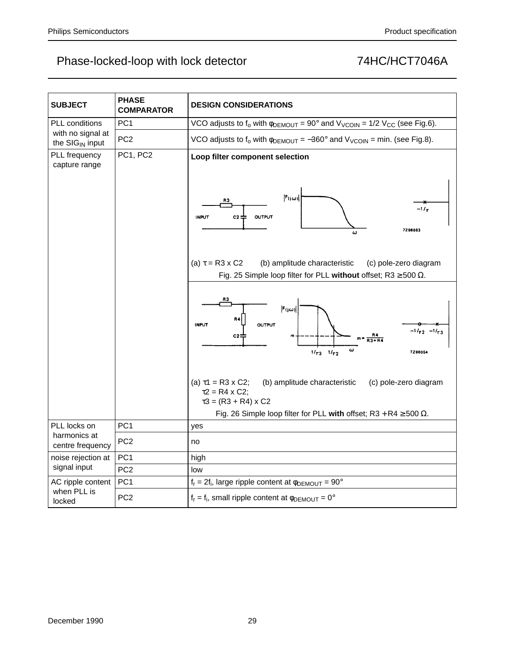| <b>SUBJECT</b>                            | <b>PHASE</b><br>COMPARATOR | <b>DESIGN CONSIDERATIONS</b>                                                                                                                                                                                          |
|-------------------------------------------|----------------------------|-----------------------------------------------------------------------------------------------------------------------------------------------------------------------------------------------------------------------|
| PLL conditions                            | PC <sub>1</sub>            | VCO adjusts to $f_0$ with $\phi_{DEMOUT} = 90^\circ$ and $V_{VCOIN} = 1/2$ V <sub>CC</sub> (see Fig.6).                                                                                                               |
| with no signal at<br>the $SIG_{IN}$ input | PC <sub>2</sub>            | VCO adjusts to $f_0$ with $\phi_{DEMOUT} = -360^\circ$ and $V_{VCOIN}$ = min. (see Fig.8).                                                                                                                            |
| PLL frequency<br>capture range            | PC1, PC2                   | Loop filter component selection                                                                                                                                                                                       |
|                                           |                            | $ F(i\omega) $<br>RЗ<br>-17.<br><b>INPUT</b><br>C2<br>OUTPUT<br>7296053<br>ω                                                                                                                                          |
|                                           |                            | (a) $\tau = R3 \times C2$<br>(b) amplitude characteristic<br>(c) pole-zero diagram<br>Fig. 25 Simple loop filter for PLL without offset; R3 $\geq$ 500 $\Omega$ .                                                     |
|                                           |                            | R3<br>$ F(j\omega) $<br>R4<br><b>INPUT</b><br><b>OUTPUT</b><br>$-1/\tau$ <sub>2</sub> $-1/\tau$<br>C2<br>$R3 + R4$<br>$\boldsymbol{\omega}$<br>$1/\tau_3$ $1/\tau_2$<br>7296054                                       |
|                                           |                            | (a) $\tau$ 1 = R3 x C2;<br>(b) amplitude characteristic<br>(c) pole-zero diagram<br>$\tau$ 2 = R4 x C2;<br>$\tau$ 3 = (R3 + R4) x C2<br>Fig. 26 Simple loop filter for PLL with offset; R3 + R4 $\geq$ 500 $\Omega$ . |
| PLL locks on                              | PC <sub>1</sub>            | yes                                                                                                                                                                                                                   |
| harmonics at<br>centre frequency          | PC <sub>2</sub>            | no                                                                                                                                                                                                                    |
| noise rejection at                        | PC <sub>1</sub>            | high                                                                                                                                                                                                                  |
| signal input                              | PC <sub>2</sub>            | low                                                                                                                                                                                                                   |
| AC ripple content                         | PC <sub>1</sub>            | $f_r = 2f_i$ , large ripple content at $\phi_{DEMOUT} = 90^\circ$                                                                                                                                                     |
| when PLL is<br>locked                     | PC <sub>2</sub>            | $f_r = f_i$ , small ripple content at $\phi_{DEMOUT} = 0^\circ$                                                                                                                                                       |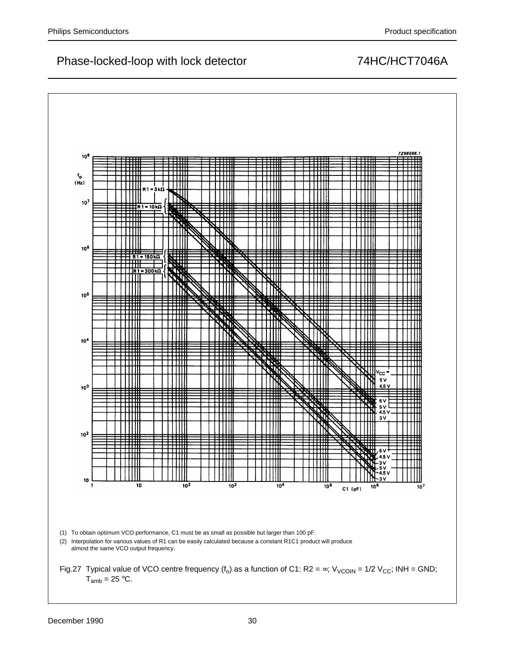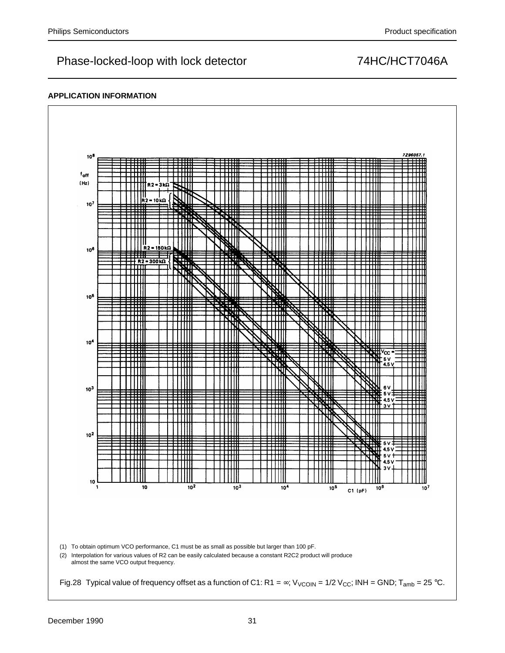### **APPLICATION INFORMATION**

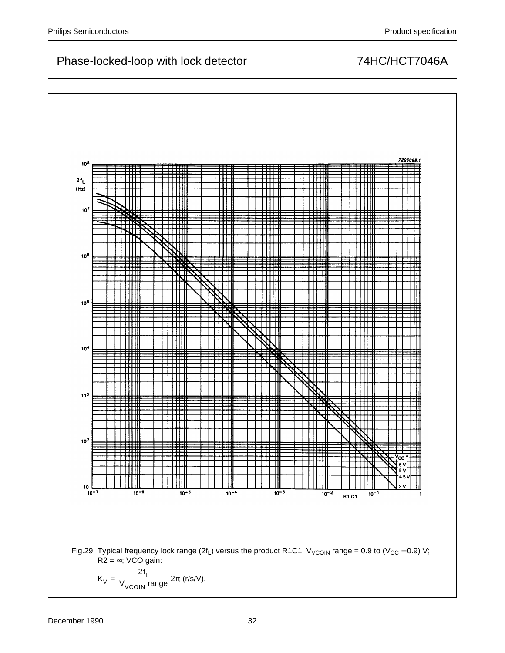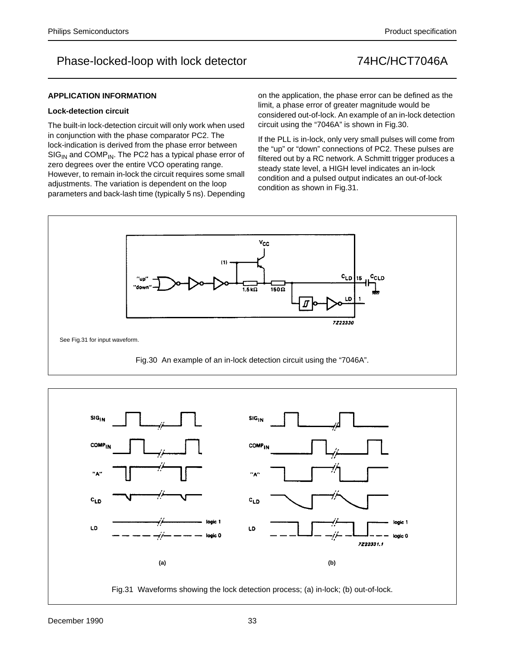

### **Lock-detection circuit**

The built-in lock-detection circuit will only work when used in conjunction with the phase comparator PC2. The lock-indication is derived from the phase error between  $SIG<sub>IN</sub>$  and COMP<sub>IN</sub>. The PC2 has a typical phase error of zero degrees over the entire VCO operating range. However, to remain in-lock the circuit requires some small adjustments. The variation is dependent on the loop parameters and back-lash time (typically 5 ns). Depending on the application, the phase error can be defined as the limit, a phase error of greater magnitude would be considered out-of-lock. An example of an in-lock detection circuit using the "7046A" is shown in Fig.30.

If the PLL is in-lock, only very small pulses will come from the "up" or "down" connections of PC2. These pulses are filtered out by a RC network. A Schmitt trigger produces a steady state level, a HIGH level indicates an in-lock condition and a pulsed output indicates an out-of-lock condition as shown in Fig.31.



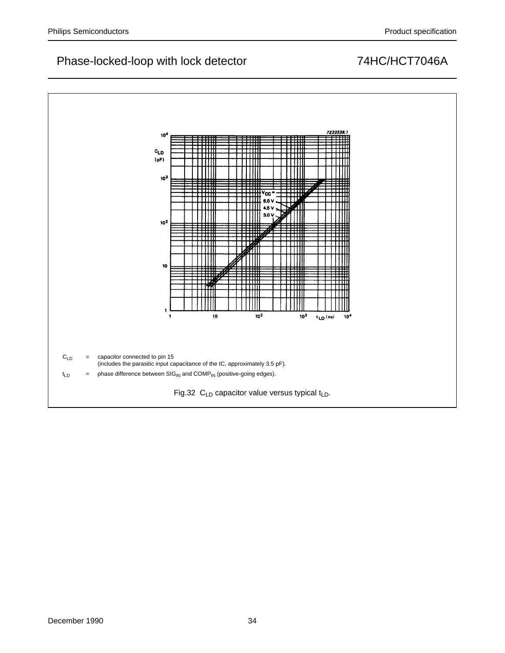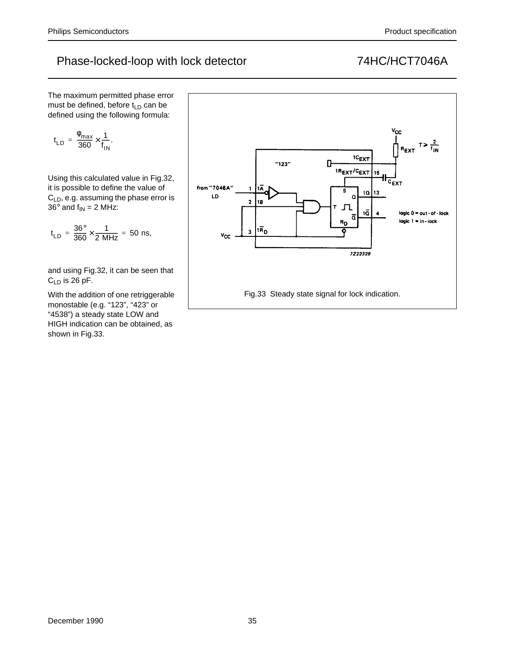The maximum permitted phase error must be defined, before  $t_{LD}$  can be defined using the following formula:

$$
t_{LD}\,=\,\frac{\varphi_{max}}{360}\!\times\!\frac{1}{f_{IN}}.
$$

Using this calculated value in Fig.32, it is possible to define the value of  $C<sub>LD</sub>$ , e.g. assuming the phase error is  $36^\circ$  and  $f_{IN} = 2$  MHz:

t LD  $=\frac{36^{\circ}}{360} \times \frac{1}{2 \text{ MHz}} = 50 \text{ ns},$ 

and using Fig.32, it can be seen that  $C_{LD}$  is 26 pF.

With the addition of one retriggerable monostable (e.g. "123", "423" or "4538") a steady state LOW and HIGH indication can be obtained, as shown in Fig.33.

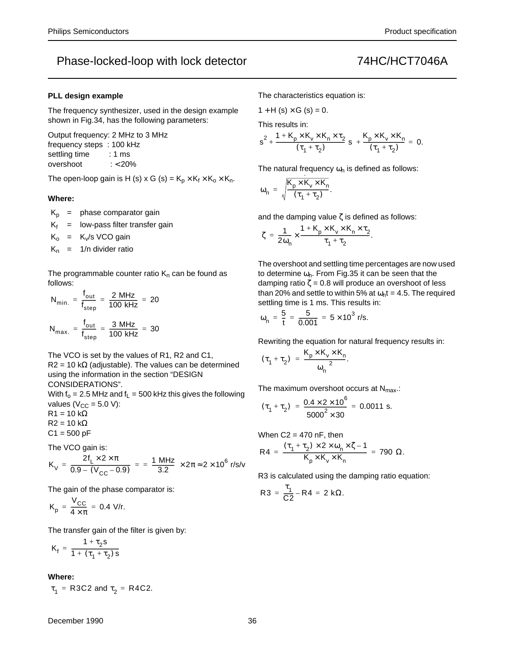### **PLL design example**

The frequency synthesizer, used in the design example shown in Fig.34, has the following parameters:

Output frequency: 2 MHz to 3 MHz frequency steps : 100 kHz settling time : 1 ms overshoot : < 20%

The open-loop gain is H (s) x G (s) =  $K_p \times K_f \times K_o \times K_n$ .

### **Where:**

 $K_p$  = phase comparator gain

 $K_f$  = low-pass filter transfer gain

 $K_0$  =  $K_v/s$  VCO gain

 $K_n$  = 1/n divider ratio

The programmable counter ratio  $K_n$  can be found as follows:

$$
N_{\text{min.}} = \frac{f_{\text{out}}}{f_{\text{step}}} = \frac{2 \text{ MHz}}{100 \text{ kHz}} = 20
$$
  

$$
N_{\text{max.}} = \frac{f_{\text{out}}}{f_{\text{step}}} = \frac{3 \text{ MHz}}{100 \text{ kHz}} = 30
$$

The VCO is set by the values of R1, R2 and C1,  $R2 = 10 \text{ k}\Omega$  (adjustable). The values can be determined

using the information in the section "DESIGN CONSIDERATIONS".

With  $f_0 = 2.5$  MHz and  $f_L = 500$  kHz this gives the following values ( $V_{CC}$  = 5.0 V):

 $R1 = 10 k\Omega$  $R2 = 10 k\Omega$  $C1 = 500 pF$ 

The VCO gain is:

$$
K_{V} = \frac{2f_{L} \times 2 \times \pi}{0.9 - (V_{CC} - 0.9)} = \frac{1 \text{ MHz}}{3.2} \times 2\pi \approx 2 \times 10^{6} \text{ r/s/v}
$$

The gain of the phase comparator is:

$$
K_p = \frac{V_{CC}}{4 \times \pi} = 0.4 \text{ V/r}.
$$

The transfer gain of the filter is given by:

$$
K_f = \frac{1 + \tau_2 s}{1 + (\tau_1 + \tau_2) s}
$$

**Where:**

 $\tau_1$  = R3C2 and  $\tau_2$  = R4C2.

### December 1990 36

The characteristics equation is:

 $1 + H(s) \times G(s) = 0.$ 

This results in:

$$
s^{2} + \frac{1 + K_{p} \times K_{v} \times K_{n} \times \tau_{2}}{(\tau_{1} + \tau_{2})} s + \frac{K_{p} \times K_{v} \times K_{n}}{(\tau_{1} + \tau_{2})} = 0.
$$

The natural frequency  $\omega_n$  is defined as follows:

$$
\omega_n = \sqrt{\frac{K_p \times K_v \times K_n}{(\tau_1 + \tau_2)}}.
$$

and the damping value  $\zeta$  is defined as follows:

$$
\zeta = \frac{1}{2\omega_n} \times \frac{1 + K_p \times K_v \times K_n \times \tau_2}{\tau_1 + \tau_2}.
$$

The overshoot and settling time percentages are now used to determine  $\omega_{n}$ . From Fig.35 it can be seen that the damping ratio  $\zeta = 0.8$  will produce an overshoot of less than 20% and settle to within 5% at  $\omega_n t = 4.5$ . The required settling time is 1 ms. This results in:

$$
\omega_n = \frac{5}{t} = \frac{5}{0.001} = 5 \times 10^3 \text{ r/s}.
$$

Rewriting the equation for natural frequency results in:

$$
(\tau_1 + \tau_2) = \frac{K_p \times K_v \times K_n}{\omega_n^2}.
$$

The maximum overshoot occurs at  $N_{\text{max}}$ .:

$$
(\tau_1 + \tau_2) = \frac{0.4 \times 2 \times 10^6}{5000^2 \times 30} = 0.0011 \text{ s}.
$$

When  $C2 = 470$  nF, then

$$
R4\,=\,\frac{(\tau_1+\tau_2)\times 2\times\omega_n\times\zeta-1}{K_p\times K_v\times K_n}\,=\,790~\Omega.
$$

R3 is calculated using the damping ratio equation:

$$
R3 = \frac{\tau_1}{C2} - R4 = 2 k\Omega.
$$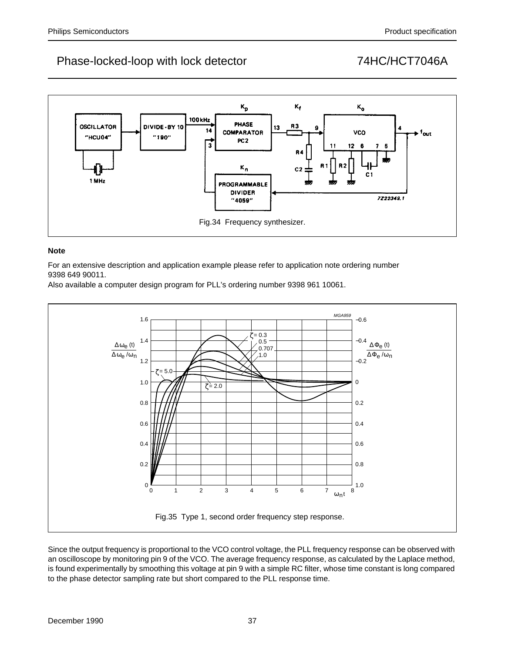

### **Note**

For an extensive description and application example please refer to application note ordering number 9398 649 90011.

Also available a computer design program for PLL's ordering number 9398 961 10061.



Since the output frequency is proportional to the VCO control voltage, the PLL frequency response can be observed with an oscilloscope by monitoring pin 9 of the VCO. The average frequency response, as calculated by the Laplace method, is found experimentally by smoothing this voltage at pin 9 with a simple RC filter, whose time constant is long compared to the phase detector sampling rate but short compared to the PLL response time.